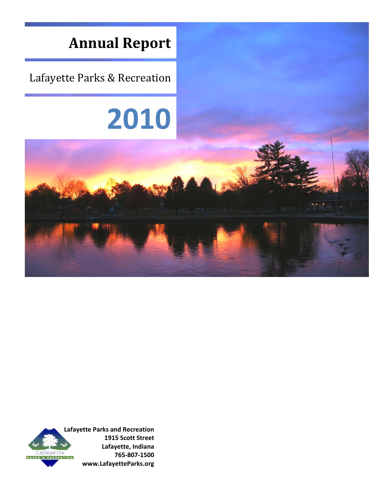

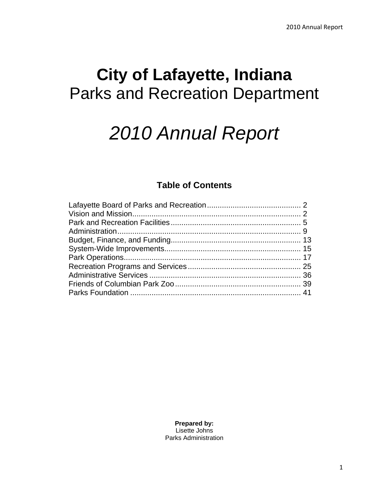# **City of Lafayette, Indiana**  Parks and Recreation Department

# *2010 Annual Report*

# **Table of Contents**

**Prepared by:**  Lisette Johns Parks Administration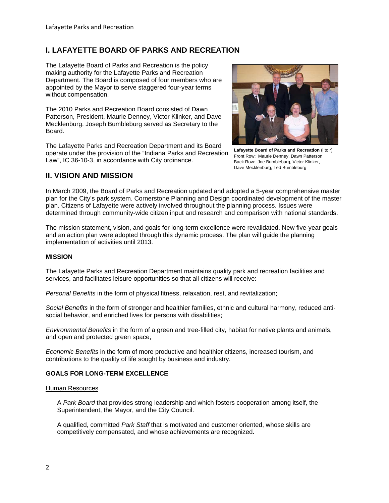# **I. LAFAYETTE BOARD OF PARKS AND RECREATION**

The Lafayette Board of Parks and Recreation is the policy making authority for the Lafayette Parks and Recreation Department. The Board is composed of four members who are appointed by the Mayor to serve staggered four-year terms without compensation.

The 2010 Parks and Recreation Board consisted of Dawn Patterson, President, Maurie Denney, Victor Klinker, and Dave Mecklenburg. Joseph Bumbleburg served as Secretary to the Board.

The Lafayette Parks and Recreation Department and its Board operate under the provision of the "Indiana Parks and Recreation Law", IC 36-10-3, in accordance with City ordinance.



**Lafayette Board of Parks and Recreation** (l to r) Front Row: Maurie Denney, Dawn Patterson Back Row: Joe Bumbleburg, Victor Klinker, Dave Mecklenburg, Ted Bumbleburg

# **II. VISION AND MISSION**

In March 2009, the Board of Parks and Recreation updated and adopted a 5-year comprehensive master plan for the City's park system. Cornerstone Planning and Design coordinated development of the master plan. Citizens of Lafayette were actively involved throughout the planning process. Issues were determined through community-wide citizen input and research and comparison with national standards.

The mission statement, vision, and goals for long-term excellence were revalidated. New five-year goals and an action plan were adopted through this dynamic process. The plan will guide the planning implementation of activities until 2013.

#### **MISSION**

The Lafayette Parks and Recreation Department maintains quality park and recreation facilities and services, and facilitates leisure opportunities so that all citizens will receive:

*Personal Benefits* in the form of physical fitness, relaxation, rest, and revitalization;

*Social Benefits* in the form of stronger and healthier families, ethnic and cultural harmony, reduced antisocial behavior, and enriched lives for persons with disabilities;

*Environmental Benefits* in the form of a green and tree-filled city, habitat for native plants and animals, and open and protected green space;

*Economic Benefits* in the form of more productive and healthier citizens, increased tourism, and contributions to the quality of life sought by business and industry.

#### **GOALS FOR LONG-TERM EXCELLENCE**

#### Human Resources

A *Park Board* that provides strong leadership and which fosters cooperation among itself, the Superintendent, the Mayor, and the City Council.

A qualified, committed *Park Staff* that is motivated and customer oriented, whose skills are competitively compensated, and whose achievements are recognized.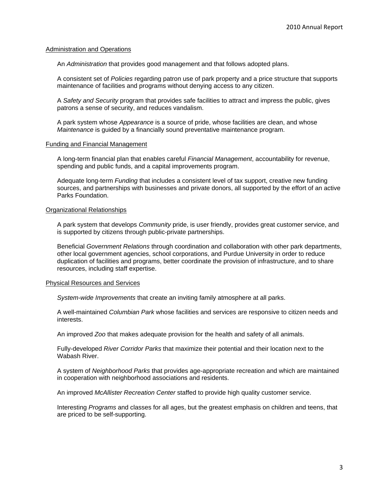#### Administration and Operations

An *Administration* that provides good management and that follows adopted plans.

A consistent set of *Policies* regarding patron use of park property and a price structure that supports maintenance of facilities and programs without denying access to any citizen.

A *Safety and Security* program that provides safe facilities to attract and impress the public, gives patrons a sense of security, and reduces vandalism.

A park system whose *Appearance* is a source of pride, whose facilities are clean, and whose *Maintenance* is guided by a financially sound preventative maintenance program.

#### Funding and Financial Management

A long-term financial plan that enables careful *Financial Management*, accountability for revenue, spending and public funds, and a capital improvements program.

Adequate long-term *Funding* that includes a consistent level of tax support, creative new funding sources, and partnerships with businesses and private donors, all supported by the effort of an active Parks Foundation.

#### Organizational Relationships

A park system that develops *Community* pride, is user friendly, provides great customer service, and is supported by citizens through public-private partnerships.

Beneficial *Government Relations* through coordination and collaboration with other park departments, other local government agencies, school corporations, and Purdue University in order to reduce duplication of facilities and programs, better coordinate the provision of infrastructure, and to share resources, including staff expertise.

#### Physical Resources and Services

*System-wide Improvements* that create an inviting family atmosphere at all parks.

A well-maintained *Columbian Park* whose facilities and services are responsive to citizen needs and interests.

An improved *Zoo* that makes adequate provision for the health and safety of all animals.

Fully-developed *River Corridor Parks* that maximize their potential and their location next to the Wabash River.

A system of *Neighborhood Parks* that provides age-appropriate recreation and which are maintained in cooperation with neighborhood associations and residents.

An improved *McAllister Recreation Center* staffed to provide high quality customer service.

Interesting *Programs* and classes for all ages, but the greatest emphasis on children and teens, that are priced to be self-supporting.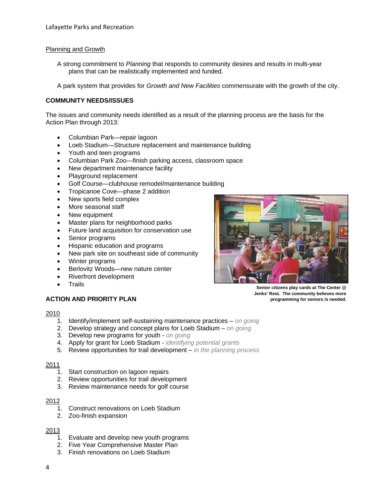#### Planning and Growth

A strong commitment to *Planning* that responds to community desires and results in multi-year plans that can be realistically implemented and funded.

A park system that provides for *Growth and New Facilities* commensurate with the growth of the city.

#### **COMMUNITY NEEDS/ISSUES**

The issues and community needs identified as a result of the planning process are the basis for the Action Plan through 2013:

- Columbian Park—repair lagoon
- Loeb Stadium—Structure replacement and maintenance building
- Youth and teen programs
- Columbian Park Zoo—finish parking access, classroom space
- New department maintenance facility
- Playground replacement
- Golf Course—clubhouse remodel/maintenance building
- Tropicanoe Cove—phase 2 addition
- New sports field complex
- More seasonal staff
- New equipment
- Master plans for neighborhood parks
- Future land acquisition for conservation use
- Senior programs
- Hispanic education and programs
- New park site on southeast side of community
- Winter programs
- Berlovitz Woods—new nature center
- Riverfront development
- Trails

# **ACTION AND PRIORITY PLAN**

2010

- 1. Identify/implement self-sustaining maintenance practices *on going*
- 2. Develop strategy and concept plans for Loeb Stadium *on going*
- 3. Develop new programs for youth *on going*
- 4. Apply for grant for Loeb Stadium *identifying potential grants*
- 5. Review opportunities for trail development *in the planning process*

#### 2011

- 1. Start construction on lagoon repairs
- 2. Review opportunities for trail development
- 3. Review maintenance needs for golf course

#### 2012

- 1. Construct renovations on Loeb Stadium
- 2. Zoo-finish expansion

#### 2013

- 1. Evaluate and develop new youth programs
- 2. Five Year Comprehensive Master Plan
- 3. Finish renovations on Loeb Stadium

**Jenks' Rest. The community believes more programming for seniors is needed.**

- 
- 

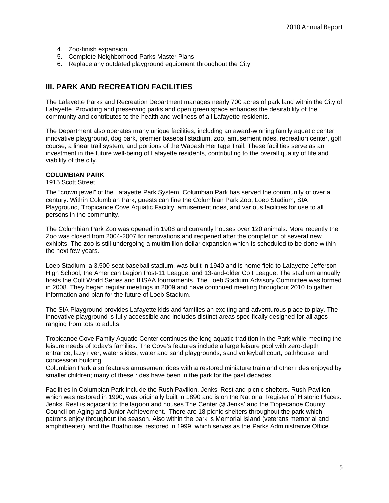- 4. Zoo-finish expansion
- 5. Complete Neighborhood Parks Master Plans
- 6. Replace any outdated playground equipment throughout the City

# **III. PARK AND RECREATION FACILITIES**

The Lafayette Parks and Recreation Department manages nearly 700 acres of park land within the City of Lafayette. Providing and preserving parks and open green space enhances the desirability of the community and contributes to the health and wellness of all Lafayette residents.

The Department also operates many unique facilities, including an award-winning family aquatic center, innovative playground, dog park, premier baseball stadium, zoo, amusement rides, recreation center, golf course, a linear trail system, and portions of the Wabash Heritage Trail. These facilities serve as an investment in the future well-being of Lafayette residents, contributing to the overall quality of life and viability of the city.

#### **COLUMBIAN PARK**

1915 Scott Street

The "crown jewel" of the Lafayette Park System, Columbian Park has served the community of over a century. Within Columbian Park, guests can fine the Columbian Park Zoo, Loeb Stadium, SIA Playground, Tropicanoe Cove Aquatic Facility, amusement rides, and various facilities for use to all persons in the community.

The Columbian Park Zoo was opened in 1908 and currently houses over 120 animals. More recently the Zoo was closed from 2004-2007 for renovations and reopened after the completion of several new exhibits. The zoo is still undergoing a multimillion dollar expansion which is scheduled to be done within the next few years.

Loeb Stadium, a 3,500-seat baseball stadium, was built in 1940 and is home field to Lafayette Jefferson High School, the American Legion Post-11 League, and 13-and-older Colt League. The stadium annually hosts the Colt World Series and IHSAA tournaments. The Loeb Stadium Advisory Committee was formed in 2008. They began regular meetings in 2009 and have continued meeting throughout 2010 to gather information and plan for the future of Loeb Stadium.

The SIA Playground provides Lafayette kids and families an exciting and adventurous place to play. The innovative playground is fully accessible and includes distinct areas specifically designed for all ages ranging from tots to adults.

Tropicanoe Cove Family Aquatic Center continues the long aquatic tradition in the Park while meeting the leisure needs of today's families. The Cove's features include a large leisure pool with zero-depth entrance, lazy river, water slides, water and sand playgrounds, sand volleyball court, bathhouse, and concession building.

Columbian Park also features amusement rides with a restored miniature train and other rides enjoyed by smaller children; many of these rides have been in the park for the past decades.

Facilities in Columbian Park include the Rush Pavilion, Jenks' Rest and picnic shelters. Rush Pavilion, which was restored in 1990, was originally built in 1890 and is on the National Register of Historic Places. Jenks' Rest is adjacent to the lagoon and houses The Center @ Jenks' and the Tippecanoe County Council on Aging and Junior Achievement. There are 18 picnic shelters throughout the park which patrons enjoy throughout the season. Also within the park is Memorial Island (veterans memorial and amphitheater), and the Boathouse, restored in 1999, which serves as the Parks Administrative Office.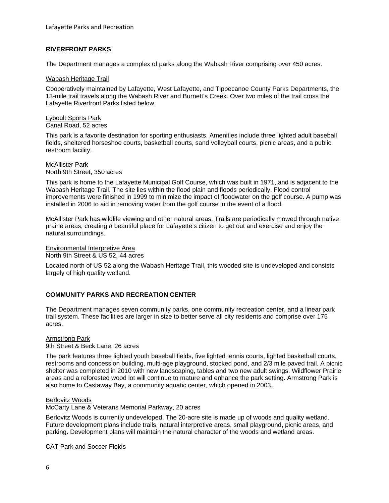#### **RIVERFRONT PARKS**

The Department manages a complex of parks along the Wabash River comprising over 450 acres.

#### Wabash Heritage Trail

Cooperatively maintained by Lafayette, West Lafayette, and Tippecanoe County Parks Departments, the 13-mile trail travels along the Wabash River and Burnett's Creek. Over two miles of the trail cross the Lafayette Riverfront Parks listed below.

Lyboult Sports Park Canal Road, 52 acres

This park is a favorite destination for sporting enthusiasts. Amenities include three lighted adult baseball fields, sheltered horseshoe courts, basketball courts, sand volleyball courts, picnic areas, and a public restroom facility.

#### McAllister Park North 9th Street, 350 acres

This park is home to the Lafayette Municipal Golf Course, which was built in 1971, and is adjacent to the Wabash Heritage Trail. The site lies within the flood plain and floods periodically. Flood control improvements were finished in 1999 to minimize the impact of floodwater on the golf course. A pump was installed in 2006 to aid in removing water from the golf course in the event of a flood.

McAllister Park has wildlife viewing and other natural areas. Trails are periodically mowed through native prairie areas, creating a beautiful place for Lafayette's citizen to get out and exercise and enjoy the natural surroundings.

#### Environmental Interpretive Area

North 9th Street & US 52, 44 acres

Located north of US 52 along the Wabash Heritage Trail, this wooded site is undeveloped and consists largely of high quality wetland.

#### **COMMUNITY PARKS AND RECREATION CENTER**

The Department manages seven community parks, one community recreation center, and a linear park trail system. These facilities are larger in size to better serve all city residents and comprise over 175 acres.

#### Armstrong Park

9th Street & Beck Lane, 26 acres

The park features three lighted youth baseball fields, five lighted tennis courts, lighted basketball courts, restrooms and concession building, multi-age playground, stocked pond, and 2/3 mile paved trail. A picnic shelter was completed in 2010 with new landscaping, tables and two new adult swings. Wildflower Prairie areas and a reforested wood lot will continue to mature and enhance the park setting. Armstrong Park is also home to Castaway Bay, a community aquatic center, which opened in 2003.

#### Berlovitz Woods

McCarty Lane & Veterans Memorial Parkway, 20 acres

Berlovitz Woods is currently undeveloped. The 20-acre site is made up of woods and quality wetland. Future development plans include trails, natural interpretive areas, small playground, picnic areas, and parking. Development plans will maintain the natural character of the woods and wetland areas.

CAT Park and Soccer Fields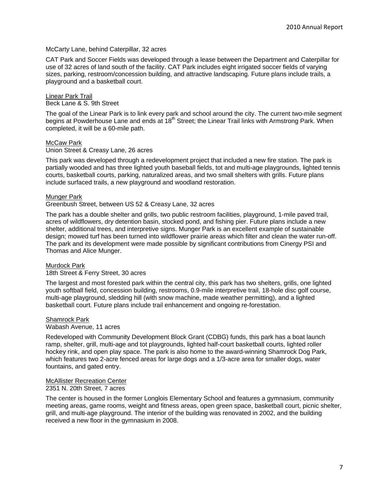#### McCarty Lane, behind Caterpillar, 32 acres

CAT Park and Soccer Fields was developed through a lease between the Department and Caterpillar for use of 32 acres of land south of the facility. CAT Park includes eight irrigated soccer fields of varying sizes, parking, restroom/concession building, and attractive landscaping. Future plans include trails, a playground and a basketball court.

# Linear Park Trail

Beck Lane & S. 9th Street

The goal of the Linear Park is to link every park and school around the city. The current two-mile segment begins at Powderhouse Lane and ends at 18<sup>th</sup> Street; the Linear Trail links with Armstrong Park. When completed, it will be a 60-mile path.

#### McCaw Park

Union Street & Creasy Lane, 26 acres

This park was developed through a redevelopment project that included a new fire station. The park is partially wooded and has three lighted youth baseball fields, tot and multi-age playgrounds, lighted tennis courts, basketball courts, parking, naturalized areas, and two small shelters with grills. Future plans include surfaced trails, a new playground and woodland restoration.

#### Munger Park

#### Greenbush Street, between US 52 & Creasy Lane, 32 acres

The park has a double shelter and grills, two public restroom facilities, playground, 1-mile paved trail, acres of wildflowers, dry detention basin, stocked pond, and fishing pier. Future plans include a new shelter, additional trees, and interpretive signs. Munger Park is an excellent example of sustainable design; mowed turf has been turned into wildflower prairie areas which filter and clean the water run-off. The park and its development were made possible by significant contributions from Cinergy PSI and Thomas and Alice Munger.

#### Murdock Park

#### 18th Street & Ferry Street, 30 acres

The largest and most forested park within the central city, this park has two shelters, grills, one lighted youth softball field, concession building, restrooms, 0.9-mile interpretive trail, 18-hole disc golf course, multi-age playground, sledding hill (with snow machine, made weather permitting), and a lighted basketball court. Future plans include trail enhancement and ongoing re-forestation.

#### Shamrock Park

#### Wabash Avenue, 11 acres

Redeveloped with Community Development Block Grant (CDBG) funds, this park has a boat launch ramp, shelter, grill, multi-age and tot playgrounds, lighted half-court basketball courts, lighted roller hockey rink, and open play space. The park is also home to the award-winning Shamrock Dog Park, which features two 2-acre fenced areas for large dogs and a 1/3-acre area for smaller dogs, water fountains, and gated entry.

# McAllister Recreation Center

# 2351 N. 20th Street, 7 acres

The center is housed in the former Longlois Elementary School and features a gymnasium, community meeting areas, game rooms, weight and fitness areas, open green space, basketball court, picnic shelter, grill, and multi-age playground. The interior of the building was renovated in 2002, and the building received a new floor in the gymnasium in 2008.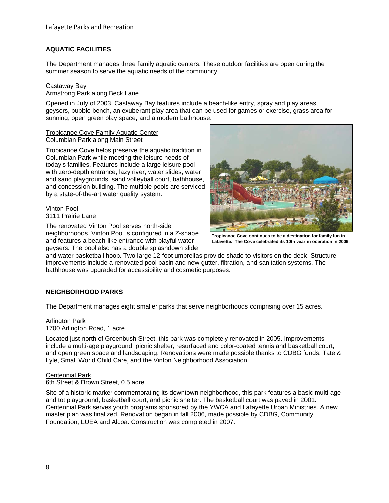#### **AQUATIC FACILITIES**

The Department manages three family aquatic centers. These outdoor facilities are open during the summer season to serve the aquatic needs of the community.

#### Castaway Bay

Armstrong Park along Beck Lane

Opened in July of 2003, Castaway Bay features include a beach-like entry, spray and play areas, geysers, bubble bench, an exuberant play area that can be used for games or exercise, grass area for sunning, open green play space, and a modern bathhouse.

#### Tropicanoe Cove Family Aquatic Center Columbian Park along Main Street

Tropicanoe Cove helps preserve the aquatic tradition in Columbian Park while meeting the leisure needs of today's families. Features include a large leisure pool with zero-depth entrance, lazy river, water slides, water and sand playgrounds, sand volleyball court, bathhouse, and concession building. The multiple pools are serviced by a state-of-the-art water quality system.

#### Vinton Pool 3111 Prairie Lane

The renovated Vinton Pool serves north-side neighborhoods. Vinton Pool is configured in a Z-shape and features a beach-like entrance with playful water geysers. The pool also has a double splashdown slide



**Tropicanoe Cove continues to be a destination for family fun in Lafayette. The Cove celebrated its 10th year in operation in 2009.**

and water basketball hoop. Two large 12-foot umbrellas provide shade to visitors on the deck. Structure improvements include a renovated pool basin and new gutter, filtration, and sanitation systems. The bathhouse was upgraded for accessibility and cosmetic purposes.

# **NEIGHBORHOOD PARKS**

The Department manages eight smaller parks that serve neighborhoods comprising over 15 acres.

#### Arlington Park

1700 Arlington Road, 1 acre

Located just north of Greenbush Street, this park was completely renovated in 2005. Improvements include a multi-age playground, picnic shelter, resurfaced and color-coated tennis and basketball court, and open green space and landscaping. Renovations were made possible thanks to CDBG funds, Tate & Lyle, Small World Child Care, and the Vinton Neighborhood Association.

# Centennial Park

6th Street & Brown Street, 0.5 acre

Site of a historic marker commemorating its downtown neighborhood, this park features a basic multi-age and tot playground, basketball court, and picnic shelter. The basketball court was paved in 2001. Centennial Park serves youth programs sponsored by the YWCA and Lafayette Urban Ministries. A new master plan was finalized. Renovation began in fall 2006, made possible by CDBG, Community Foundation, LUEA and Alcoa. Construction was completed in 2007.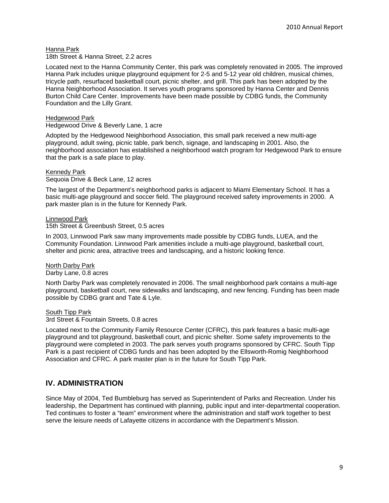Hanna Park

18th Street & Hanna Street, 2.2 acres

Located next to the Hanna Community Center, this park was completely renovated in 2005. The improved Hanna Park includes unique playground equipment for 2-5 and 5-12 year old children, musical chimes, tricycle path, resurfaced basketball court, picnic shelter, and grill. This park has been adopted by the Hanna Neighborhood Association. It serves youth programs sponsored by Hanna Center and Dennis Burton Child Care Center. Improvements have been made possible by CDBG funds, the Community Foundation and the Lilly Grant.

Hedgewood Park

Hedgewood Drive & Beverly Lane, 1 acre

Adopted by the Hedgewood Neighborhood Association, this small park received a new multi-age playground, adult swing, picnic table, park bench, signage, and landscaping in 2001. Also, the neighborhood association has established a neighborhood watch program for Hedgewood Park to ensure that the park is a safe place to play.

Kennedy Park

Sequoia Drive & Beck Lane, 12 acres

The largest of the Department's neighborhood parks is adjacent to Miami Elementary School. It has a basic multi-age playground and soccer field. The playground received safety improvements in 2000. A park master plan is in the future for Kennedy Park.

Linnwood Park 15th Street & Greenbush Street, 0.5 acres

In 2003, Linnwood Park saw many improvements made possible by CDBG funds, LUEA, and the Community Foundation. Linnwood Park amenities include a multi-age playground, basketball court, shelter and picnic area, attractive trees and landscaping, and a historic looking fence.

North Darby Park Darby Lane, 0.8 acres

North Darby Park was completely renovated in 2006. The small neighborhood park contains a multi-age playground, basketball court, new sidewalks and landscaping, and new fencing. Funding has been made possible by CDBG grant and Tate & Lyle.

South Tipp Park

3rd Street & Fountain Streets, 0.8 acres

Located next to the Community Family Resource Center (CFRC), this park features a basic multi-age playground and tot playground, basketball court, and picnic shelter. Some safety improvements to the playground were completed in 2003. The park serves youth programs sponsored by CFRC. South Tipp Park is a past recipient of CDBG funds and has been adopted by the Ellsworth-Romig Neighborhood Association and CFRC. A park master plan is in the future for South Tipp Park.

# **IV. ADMINISTRATION**

Since May of 2004, Ted Bumbleburg has served as Superintendent of Parks and Recreation. Under his leadership, the Department has continued with planning, public input and inter-departmental cooperation. Ted continues to foster a "team" environment where the administration and staff work together to best serve the leisure needs of Lafayette citizens in accordance with the Department's Mission.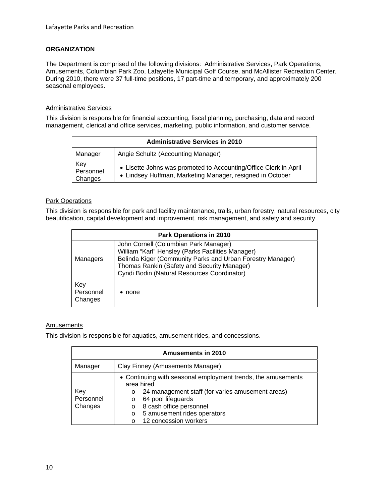### **ORGANIZATION**

The Department is comprised of the following divisions: Administrative Services, Park Operations, Amusements, Columbian Park Zoo, Lafayette Municipal Golf Course, and McAllister Recreation Center. During 2010, there were 37 full-time positions, 17 part-time and temporary, and approximately 200 seasonal employees.

#### Administrative Services

This division is responsible for financial accounting, fiscal planning, purchasing, data and record management, clerical and office services, marketing, public information, and customer service.

| <b>Administrative Services in 2010</b> |                                                                                                                               |  |
|----------------------------------------|-------------------------------------------------------------------------------------------------------------------------------|--|
| Manager                                | Angie Schultz (Accounting Manager)                                                                                            |  |
| Key<br>Personnel<br>Changes            | • Lisette Johns was promoted to Accounting/Office Clerk in April<br>• Lindsey Huffman, Marketing Manager, resigned in October |  |

#### **Park Operations**

This division is responsible for park and facility maintenance, trails, urban forestry, natural resources, city beautification, capital development and improvement, risk management, and safety and security.

| <b>Park Operations in 2010</b> |                                                                                                                                                                                                                                                        |  |
|--------------------------------|--------------------------------------------------------------------------------------------------------------------------------------------------------------------------------------------------------------------------------------------------------|--|
| <b>Managers</b>                | John Cornell (Columbian Park Manager)<br>William "Karl" Hensley (Parks Facilities Manager)<br>Belinda Kiger (Community Parks and Urban Forestry Manager)<br>Thomas Rankin (Safety and Security Manager)<br>Cyndi Bodin (Natural Resources Coordinator) |  |
| Key<br>Personnel<br>Changes    | none                                                                                                                                                                                                                                                   |  |

#### Amusements

This division is responsible for aquatics, amusement rides, and concessions.

| <b>Amusements in 2010</b>   |                                                                                                                                                                                                                                                                                                 |  |  |
|-----------------------------|-------------------------------------------------------------------------------------------------------------------------------------------------------------------------------------------------------------------------------------------------------------------------------------------------|--|--|
| Manager                     | Clay Finney (Amusements Manager)                                                                                                                                                                                                                                                                |  |  |
| Key<br>Personnel<br>Changes | • Continuing with seasonal employment trends, the amusements<br>area hired<br>24 management staff (for varies amusement areas)<br>$\circ$<br>64 pool lifeguards<br>$\circ$<br>8 cash office personnel<br>$\circ$<br>5 amusement rides operators<br>$\circ$<br>12 concession workers<br>$\Omega$ |  |  |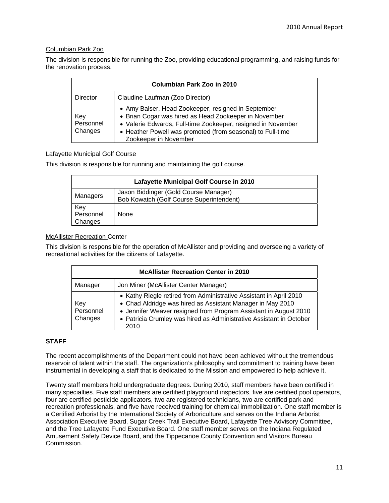#### Columbian Park Zoo

The division is responsible for running the Zoo, providing educational programming, and raising funds for the renovation process.

| Columbian Park Zoo in 2010  |                                                                                                                                                                                                                                                                     |  |  |
|-----------------------------|---------------------------------------------------------------------------------------------------------------------------------------------------------------------------------------------------------------------------------------------------------------------|--|--|
| Director                    | Claudine Laufman (Zoo Director)                                                                                                                                                                                                                                     |  |  |
| Key<br>Personnel<br>Changes | • Amy Balser, Head Zookeeper, resigned in September<br>• Brian Cogar was hired as Head Zookeeper in November<br>• Valerie Edwards, Full-time Zookeeper, resigned in November<br>• Heather Powell was promoted (from seasonal) to Full-time<br>Zookeeper in November |  |  |

#### Lafayette Municipal Golf Course

This division is responsible for running and maintaining the golf course.

| Lafayette Municipal Golf Course in 2010 |                                                                                   |  |
|-----------------------------------------|-----------------------------------------------------------------------------------|--|
| Managers                                | Jason Biddinger (Gold Course Manager)<br>Bob Kowatch (Golf Course Superintendent) |  |
| Key<br>Personnel<br>Changes             | None                                                                              |  |

#### McAllister Recreation Center

This division is responsible for the operation of McAllister and providing and overseeing a variety of recreational activities for the citizens of Lafayette.

| <b>McAllister Recreation Center in 2010</b> |                                                                                                                                                                                                                                                                                     |  |  |
|---------------------------------------------|-------------------------------------------------------------------------------------------------------------------------------------------------------------------------------------------------------------------------------------------------------------------------------------|--|--|
| Manager                                     | Jon Miner (McAllister Center Manager)                                                                                                                                                                                                                                               |  |  |
| Key<br>Personnel<br>Changes                 | • Kathy Riegle retired from Administrative Assistant in April 2010<br>• Chad Aldridge was hired as Assistant Manager in May 2010<br>• Jennifer Weaver resigned from Program Assistant in August 2010<br>• Patricia Crumley was hired as Administrative Assistant in October<br>2010 |  |  |

#### **STAFF**

The recent accomplishments of the Department could not have been achieved without the tremendous reservoir of talent within the staff. The organization's philosophy and commitment to training have been instrumental in developing a staff that is dedicated to the Mission and empowered to help achieve it.

Twenty staff members hold undergraduate degrees. During 2010, staff members have been certified in many specialties. Five staff members are certified playground inspectors, five are certified pool operators, four are certified pesticide applicators, two are registered technicians, two are certified park and recreation professionals, and five have received training for chemical immobilization. One staff member is a Certified Arborist by the International Society of Arboriculture and serves on the Indiana Arborist Association Executive Board, Sugar Creek Trail Executive Board, Lafayette Tree Advisory Committee, and the Tree Lafayette Fund Executive Board. One staff member serves on the Indiana Regulated Amusement Safety Device Board, and the Tippecanoe County Convention and Visitors Bureau Commission.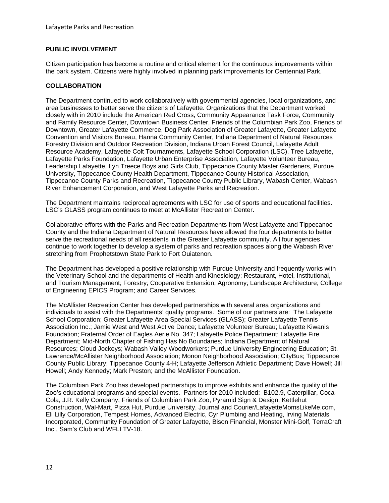#### **PUBLIC INVOLVEMENT**

Citizen participation has become a routine and critical element for the continuous improvements within the park system. Citizens were highly involved in planning park improvements for Centennial Park.

#### **COLLABORATION**

The Department continued to work collaboratively with governmental agencies, local organizations, and area businesses to better serve the citizens of Lafayette. Organizations that the Department worked closely with in 2010 include the American Red Cross, Community Appearance Task Force, Community and Family Resource Center, Downtown Business Center, Friends of the Columbian Park Zoo, Friends of Downtown, Greater Lafayette Commerce, Dog Park Association of Greater Lafayette, Greater Lafayette Convention and Visitors Bureau, Hanna Community Center, Indiana Department of Natural Resources Forestry Division and Outdoor Recreation Division, Indiana Urban Forest Council, Lafayette Adult Resource Academy, Lafayette Colt Tournaments, Lafayette School Corporation (LSC), Tree Lafayette, Lafayette Parks Foundation, Lafayette Urban Enterprise Association, Lafayette Volunteer Bureau, Leadership Lafayette, Lyn Treece Boys and Girls Club, Tippecanoe County Master Gardeners, Purdue University, Tippecanoe County Health Department, Tippecanoe County Historical Association, Tippecanoe County Parks and Recreation, Tippecanoe County Public Library, Wabash Center, Wabash River Enhancement Corporation, and West Lafayette Parks and Recreation.

The Department maintains reciprocal agreements with LSC for use of sports and educational facilities. LSC's GLASS program continues to meet at McAllister Recreation Center.

Collaborative efforts with the Parks and Recreation Departments from West Lafayette and Tippecanoe County and the Indiana Department of Natural Resources have allowed the four departments to better serve the recreational needs of all residents in the Greater Lafayette community. All four agencies continue to work together to develop a system of parks and recreation spaces along the Wabash River stretching from Prophetstown State Park to Fort Ouiatenon.

The Department has developed a positive relationship with Purdue University and frequently works with the Veterinary School and the departments of Health and Kinesiology; Restaurant, Hotel, Institutional, and Tourism Management; Forestry; Cooperative Extension; Agronomy; Landscape Architecture; College of Engineering EPICS Program; and Career Services.

The McAllister Recreation Center has developed partnerships with several area organizations and individuals to assist with the Departments' quality programs. Some of our partners are: The Lafayette School Corporation; Greater Lafayette Area Special Services (GLASS); Greater Lafayette Tennis Association Inc.; Jamie West and West Active Dance; Lafayette Volunteer Bureau; Lafayette Kiwanis Foundation; Fraternal Order of Eagles Aerie No. 347; Lafayette Police Department; Lafayette Fire Department; Mid-North Chapter of Fishing Has No Boundaries; Indiana Department of Natural Resources; Cloud Jockeys; Wabash Valley Woodworkers; Purdue University Engineering Education; St. Lawrence/McAllister Neighborhood Association; Monon Neighborhood Association; CityBus; Tippecanoe County Public Library; Tippecanoe County 4-H; Lafayette Jefferson Athletic Department; Dave Howell; Jill Howell; Andy Kennedy; Mark Preston; and the McAllister Foundation.

The Columbian Park Zoo has developed partnerships to improve exhibits and enhance the quality of the Zoo's educational programs and special events. Partners for 2010 included: B102.9, Caterpillar, Coca-Cola, J.R. Kelly Company, Friends of Columbian Park Zoo, Pyramid Sign & Design, Kettlehut Construction, Wal-Mart, Pizza Hut, Purdue University, Journal and Courier/LafayetteMomsLikeMe.com, Eli Lilly Corporation, Tempest Homes, Advanced Electric, Cyr Plumbing and Heating, Irving Materials Incorporated, Community Foundation of Greater Lafayette, Bison Financial, Monster Mini-Golf, TerraCraft Inc., Sam's Club and WFLI TV-18.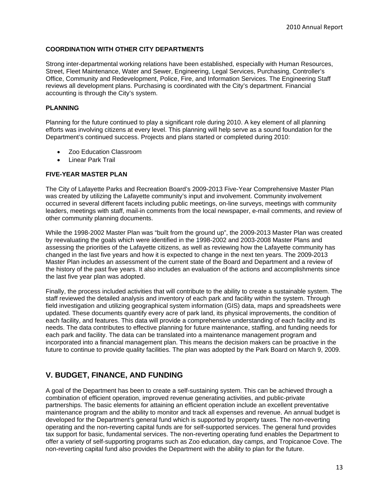#### **COORDINATION WITH OTHER CITY DEPARTMENTS**

Strong inter-departmental working relations have been established, especially with Human Resources, Street, Fleet Maintenance, Water and Sewer, Engineering, Legal Services, Purchasing, Controller's Office, Community and Redevelopment, Police, Fire, and Information Services. The Engineering Staff reviews all development plans. Purchasing is coordinated with the City's department. Financial accounting is through the City's system.

#### **PLANNING**

Planning for the future continued to play a significant role during 2010. A key element of all planning efforts was involving citizens at every level. This planning will help serve as a sound foundation for the Department's continued success. Projects and plans started or completed during 2010:

- Zoo Education Classroom
- Linear Park Trail

#### **FIVE-YEAR MASTER PLAN**

The City of Lafayette Parks and Recreation Board's 2009-2013 Five-Year Comprehensive Master Plan was created by utilizing the Lafayette community's input and involvement. Community involvement occurred in several different facets including public meetings, on-line surveys, meetings with community leaders, meetings with staff, mail-in comments from the local newspaper, e-mail comments, and review of other community planning documents.

While the 1998-2002 Master Plan was "built from the ground up", the 2009-2013 Master Plan was created by reevaluating the goals which were identified in the 1998-2002 and 2003-2008 Master Plans and assessing the priorities of the Lafayette citizens, as well as reviewing how the Lafayette community has changed in the last five years and how it is expected to change in the next ten years. The 2009-2013 Master Plan includes an assessment of the current state of the Board and Department and a review of the history of the past five years. It also includes an evaluation of the actions and accomplishments since the last five year plan was adopted.

Finally, the process included activities that will contribute to the ability to create a sustainable system. The staff reviewed the detailed analysis and inventory of each park and facility within the system. Through field investigation and utilizing geographical system information (GIS) data, maps and spreadsheets were updated. These documents quantify every acre of park land, its physical improvements, the condition of each facility, and features. This data will provide a comprehensive understanding of each facility and its needs. The data contributes to effective planning for future maintenance, staffing, and funding needs for each park and facility. The data can be translated into a maintenance management program and incorporated into a financial management plan. This means the decision makers can be proactive in the future to continue to provide quality facilities. The plan was adopted by the Park Board on March 9, 2009.

# **V. BUDGET, FINANCE, AND FUNDING**

A goal of the Department has been to create a self-sustaining system. This can be achieved through a combination of efficient operation, improved revenue generating activities, and public-private partnerships. The basic elements for attaining an efficient operation include an excellent preventative maintenance program and the ability to monitor and track all expenses and revenue. An annual budget is developed for the Department's general fund which is supported by property taxes. The non-reverting operating and the non-reverting capital funds are for self-supported services. The general fund provides tax support for basic, fundamental services. The non-reverting operating fund enables the Department to offer a variety of self-supporting programs such as Zoo education, day camps, and Tropicanoe Cove. The non-reverting capital fund also provides the Department with the ability to plan for the future.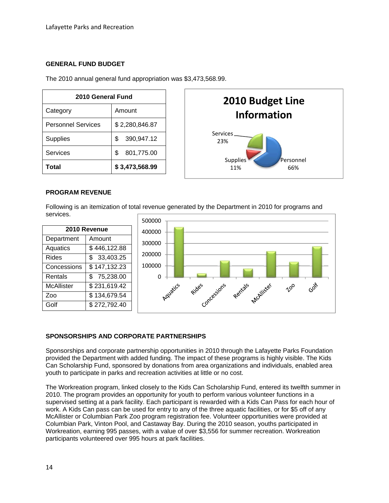#### **GENERAL FUND BUDGET**

The 2010 annual general fund appropriation was \$3,473,568.99.

| 2010 General Fund         |                  |  |
|---------------------------|------------------|--|
| Category                  | Amount           |  |
| <b>Personnel Services</b> | \$2,280,846.87   |  |
| <b>Supplies</b>           | \$<br>390,947.12 |  |
| Services                  | \$<br>801,775.00 |  |
| Total                     | \$3,473,568.99   |  |



#### **PROGRAM REVENUE**

Following is an itemization of total revenue generated by the Department in 2010 for programs and services.



#### **SPONSORSHIPS AND CORPORATE PARTNERSHIPS**

Sponsorships and corporate partnership opportunities in 2010 through the Lafayette Parks Foundation provided the Department with added funding. The impact of these programs is highly visible. The Kids Can Scholarship Fund, sponsored by donations from area organizations and individuals, enabled area youth to participate in parks and recreation activities at little or no cost.

The Workreation program, linked closely to the Kids Can Scholarship Fund, entered its twelfth summer in 2010. The program provides an opportunity for youth to perform various volunteer functions in a supervised setting at a park facility. Each participant is rewarded with a Kids Can Pass for each hour of work. A Kids Can pass can be used for entry to any of the three aquatic facilities, or for \$5 off of any McAllister or Columbian Park Zoo program registration fee. Volunteer opportunities were provided at Columbian Park, Vinton Pool, and Castaway Bay. During the 2010 season, youths participated in Workreation, earning 995 passes, with a value of over \$3,556 for summer recreation. Workreation participants volunteered over 995 hours at park facilities.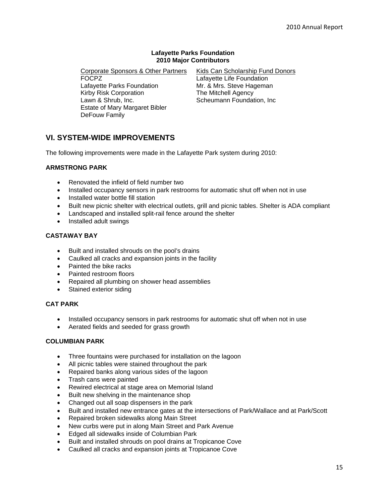#### **Lafayette Parks Foundation 2010 Major Contributors**

Corporate Sponsors & Other Partners FOCPZ Lafayette Parks Foundation Kirby Risk Corporation Lawn & Shrub, Inc. Estate of Mary Margaret Bibler DeFouw Family

Kids Can Scholarship Fund Donors Lafayette Life Foundation Mr. & Mrs. Steve Hageman The Mitchell Agency Scheumann Foundation, Inc

# **VI. SYSTEM-WIDE IMPROVEMENTS**

The following improvements were made in the Lafayette Park system during 2010:

#### **ARMSTRONG PARK**

- Renovated the infield of field number two
- Installed occupancy sensors in park restrooms for automatic shut off when not in use
- Installed water bottle fill station
- Built new picnic shelter with electrical outlets, grill and picnic tables. Shelter is ADA compliant
- Landscaped and installed split-rail fence around the shelter
- Installed adult swings

#### **CASTAWAY BAY**

- Built and installed shrouds on the pool's drains
- Caulked all cracks and expansion joints in the facility
- Painted the bike racks
- Painted restroom floors
- Repaired all plumbing on shower head assemblies
- Stained exterior siding

#### **CAT PARK**

- Installed occupancy sensors in park restrooms for automatic shut off when not in use
- Aerated fields and seeded for grass growth

#### **COLUMBIAN PARK**

- Three fountains were purchased for installation on the lagoon
- All picnic tables were stained throughout the park
- Repaired banks along various sides of the lagoon
- Trash cans were painted
- Rewired electrical at stage area on Memorial Island
- Built new shelving in the maintenance shop
- Changed out all soap dispensers in the park
- Built and installed new entrance gates at the intersections of Park/Wallace and at Park/Scott
- Repaired broken sidewalks along Main Street
- New curbs were put in along Main Street and Park Avenue
- Edged all sidewalks inside of Columbian Park
- Built and installed shrouds on pool drains at Tropicanoe Cove
- Caulked all cracks and expansion joints at Tropicanoe Cove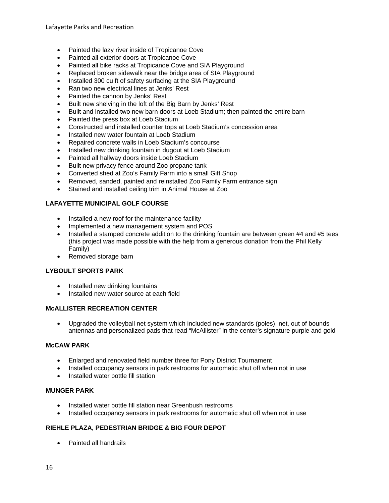Lafayette Parks and Recreation

- Painted the lazy river inside of Tropicanoe Cove
- Painted all exterior doors at Tropicanoe Cove
- Painted all bike racks at Tropicanoe Cove and SIA Playground
- Replaced broken sidewalk near the bridge area of SIA Playground
- Installed 300 cu ft of safety surfacing at the SIA Playground
- Ran two new electrical lines at Jenks' Rest
- Painted the cannon by Jenks' Rest
- Built new shelving in the loft of the Big Barn by Jenks' Rest
- Built and installed two new barn doors at Loeb Stadium; then painted the entire barn
- Painted the press box at Loeb Stadium
- Constructed and installed counter tops at Loeb Stadium's concession area
- Installed new water fountain at Loeb Stadium
- Repaired concrete walls in Loeb Stadium's concourse
- Installed new drinking fountain in dugout at Loeb Stadium
- Painted all hallway doors inside Loeb Stadium
- Built new privacy fence around Zoo propane tank
- Converted shed at Zoo's Family Farm into a small Gift Shop
- Removed, sanded, painted and reinstalled Zoo Family Farm entrance sign
- Stained and installed ceiling trim in Animal House at Zoo

#### **LAFAYETTE MUNICIPAL GOLF COURSE**

- Installed a new roof for the maintenance facility
- Implemented a new management system and POS
- Installed a stamped concrete addition to the drinking fountain are between green #4 and #5 tees (this project was made possible with the help from a generous donation from the Phil Kelly Family)
- Removed storage barn

#### **LYBOULT SPORTS PARK**

- Installed new drinking fountains
- Installed new water source at each field

#### **McALLISTER RECREATION CENTER**

 Upgraded the volleyball net system which included new standards (poles), net, out of bounds antennas and personalized pads that read "McAllister" in the center's signature purple and gold

#### **McCAW PARK**

- Enlarged and renovated field number three for Pony District Tournament
- Installed occupancy sensors in park restrooms for automatic shut off when not in use
- Installed water bottle fill station

#### **MUNGER PARK**

- Installed water bottle fill station near Greenbush restrooms
- Installed occupancy sensors in park restrooms for automatic shut off when not in use

#### **RIEHLE PLAZA, PEDESTRIAN BRIDGE & BIG FOUR DEPOT**

• Painted all handrails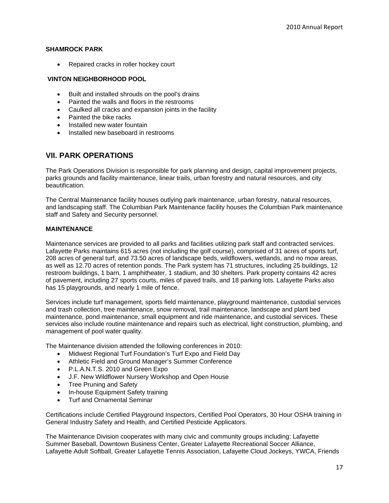#### **SHAMROCK PARK**

• Repaired cracks in roller hockey court

#### **VINTON NEIGHBORHOOD POOL**

- Built and installed shrouds on the pool's drains
- Painted the walls and floors in the restrooms
- Caulked all cracks and expansion joints in the facility
- Painted the bike racks
- Installed new water fountain
- Installed new baseboard in restrooms

# **VII. PARK OPERATIONS**

The Park Operations Division is responsible for park planning and design, capital improvement projects, parks grounds and facility maintenance, linear trails, urban forestry and natural resources, and city beautification.

The Central Maintenance facility houses outlying park maintenance, urban forestry, natural resources, and landscaping staff. The Columbian Park Maintenance facility houses the Columbian Park maintenance staff and Safety and Security personnel.

#### **MAINTENANCE**

Maintenance services are provided to all parks and facilities utilizing park staff and contracted services. Lafayette Parks maintains 615 acres (not including the golf course), comprised of 31 acres of sports turf, 208 acres of general turf, and 73.50 acres of landscape beds, wildflowers, wetlands, and no mow areas, as well as 12.70 acres of retention ponds. The Park system has 71 structures, including 25 buildings, 12 restroom buildings, 1 barn, 1 amphitheater, 1 stadium, and 30 shelters. Park property contains 42 acres of pavement, including 27 sports courts, miles of paved trails, and 18 parking lots. Lafayette Parks also has 15 playgrounds, and nearly 1 mile of fence.

Services include turf management, sports field maintenance, playground maintenance, custodial services and trash collection, tree maintenance, snow removal, trail maintenance, landscape and plant bed maintenance, pond maintenance, small equipment and ride maintenance, and custodial services. These services also include routine maintenance and repairs such as electrical, light construction, plumbing, and management of pool water quality.

The Maintenance division attended the following conferences in 2010:

- Midwest Regional Turf Foundation's Turf Expo and Field Day
- Athletic Field and Ground Manager's Summer Conference
- P.L.A.N.T.S. 2010 and Green Expo
- J.F. New Wildflower Nursery Workshop and Open House
- Tree Pruning and Safety
- In-house Equipment Safety training
- Turf and Ornamental Seminar

Certifications include Certified Playground Inspectors, Certified Pool Operators, 30 Hour OSHA training in General Industry Safety and Health, and Certified Pesticide Applicators.

The Maintenance Division cooperates with many civic and community groups including: Lafayette Summer Baseball, Downtown Business Center, Greater Lafayette Recreational Soccer Alliance, Lafayette Adult Softball, Greater Lafayette Tennis Association, Lafayette Cloud Jockeys, YWCA, Friends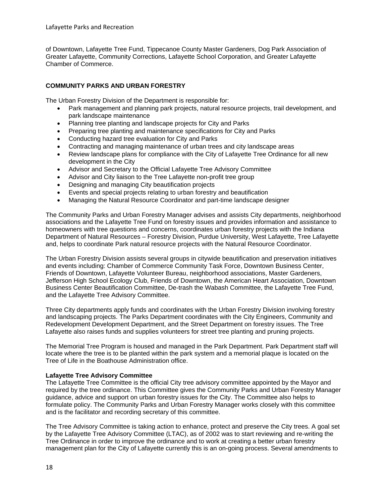of Downtown, Lafayette Tree Fund, Tippecanoe County Master Gardeners, Dog Park Association of Greater Lafayette, Community Corrections, Lafayette School Corporation, and Greater Lafayette Chamber of Commerce.

#### **COMMUNITY PARKS AND URBAN FORESTRY**

The Urban Forestry Division of the Department is responsible for:

- Park management and planning park projects, natural resource projects, trail development, and park landscape maintenance
- Planning tree planting and landscape projects for City and Parks
- Preparing tree planting and maintenance specifications for City and Parks
- Conducting hazard tree evaluation for City and Parks
- Contracting and managing maintenance of urban trees and city landscape areas
- Review landscape plans for compliance with the City of Lafayette Tree Ordinance for all new development in the City
- Advisor and Secretary to the Official Lafayette Tree Advisory Committee
- Advisor and City liaison to the Tree Lafayette non-profit tree group
- Designing and managing City beautification projects
- Events and special projects relating to urban forestry and beautification
- Managing the Natural Resource Coordinator and part-time landscape designer

The Community Parks and Urban Forestry Manager advises and assists City departments, neighborhood associations and the Lafayette Tree Fund on forestry issues and provides information and assistance to homeowners with tree questions and concerns, coordinates urban forestry projects with the Indiana Department of Natural Resources – Forestry Division, Purdue University, West Lafayette, Tree Lafayette and, helps to coordinate Park natural resource projects with the Natural Resource Coordinator.

The Urban Forestry Division assists several groups in citywide beautification and preservation initiatives and events including: Chamber of Commerce Community Task Force, Downtown Business Center, Friends of Downtown, Lafayette Volunteer Bureau, neighborhood associations, Master Gardeners, Jefferson High School Ecology Club, Friends of Downtown, the American Heart Association, Downtown Business Center Beautification Committee, De-trash the Wabash Committee, the Lafayette Tree Fund, and the Lafayette Tree Advisory Committee.

Three City departments apply funds and coordinates with the Urban Forestry Division involving forestry and landscaping projects. The Parks Department coordinates with the City Engineers, Community and Redevelopment Development Department, and the Street Department on forestry issues. The Tree Lafayette also raises funds and supplies volunteers for street tree planting and pruning projects.

The Memorial Tree Program is housed and managed in the Park Department. Park Department staff will locate where the tree is to be planted within the park system and a memorial plaque is located on the Tree of Life in the Boathouse Administration office.

#### **Lafayette Tree Advisory Committee**

The Lafayette Tree Committee is the official City tree advisory committee appointed by the Mayor and required by the tree ordinance. This Committee gives the Community Parks and Urban Forestry Manager guidance, advice and support on urban forestry issues for the City. The Committee also helps to formulate policy. The Community Parks and Urban Forestry Manager works closely with this committee and is the facilitator and recording secretary of this committee.

The Tree Advisory Committee is taking action to enhance, protect and preserve the City trees. A goal set by the Lafayette Tree Advisory Committee (LTAC), as of 2002 was to start reviewing and re-writing the Tree Ordinance in order to improve the ordinance and to work at creating a better urban forestry management plan for the City of Lafayette currently this is an on-going process. Several amendments to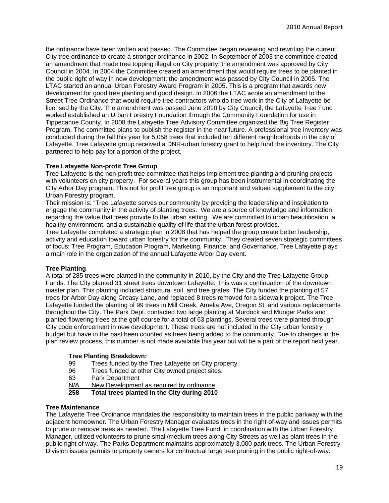the ordinance have been written and passed. The Committee began reviewing and rewriting the current City tree ordinance to create a stronger ordinance in 2002. In September of 2003 the committee created an amendment that made tree topping illegal on City property; the amendment was approved by City Council in 2004. In 2004 the Committee created an amendment that would require trees to be planted in the public right of way in new development; the amendment was passed by City Council in 2005. The LTAC started an annual Urban Forestry Award Program in 2005. This is a program that awards new development for good tree planting and good design. In 2006 the LTAC wrote an amendment to the Street Tree Ordinance that would require tree contractors who do tree work in the City of Lafayette be licensed by the City. The amendment was passed June 2010 by City Council, the Lafayette Tree Fund worked established an Urban Forestry Foundation through the Community Foundation for use in Tippecanoe County. In 2008 the Lafayette Tree Advisory Committee organized the Big Tree Register Program. The committee plans to publish the register in the near future. A professional tree inventory was conducted during the fall this year for 5,058 trees that included ten different neighborhoods in the city of Lafayette. Tree Lafayette group received a DNR-urban forestry grant to help fund the inventory. The City partnered to help pay for a portion of the project.

#### **Tree Lafayette Non-profit Tree Group**

Tree Lafayette is the non-profit tree committee that helps implement tree planting and pruning projects with volunteers on city property. For several years this group has been instrumental in coordinating the City Arbor Day program. This not for profit tree group is an important and valued supplement to the city Urban Forestry program.

Their mission is: "Tree Lafayette serves our community by providing the leadership and inspiration to engage the community in the activity of planting trees. We are a source of knowledge and information regarding the value that trees provide to the urban setting. We are committed to urban beautification, a healthy environment, and a sustainable quality of life that the urban forest provides."

Tree Lafayette completed a strategic plan in 2008 that has helped the group create better leadership, activity and education toward urban forestry for the community. They created seven strategic committees of focus: Tree Program, Education Program, Marketing, Finance, and Governance. Tree Lafayette plays a main role in the organization of the annual Lafayette Arbor Day event.

#### **Tree Planting**

A total of 285 trees were planted in the community in 2010, by the City and the Tree Lafayette Group Funds. The City planted 31 street trees downtown Lafayette. This was a continuation of the downtown master plan. This planting included structural soil, and tree grates. The City funded the planting of 57 trees for Arbor Day along Creasy Lane, and replaced 8 trees removed for a sidewalk project. The Tree Lafayette funded the planting of 99 trees in Mill Creek, Amelia Ave, Oregon St. and various replacements throughout the City. The Park Dept. contacted two large planting at Murdock and Munger Parks and planted flowering trees at the golf course for a total of 63 plantings. Several trees were planted through City code enforcement in new development. These trees are not included in the City urban forestry budget but have in the past been counted as trees being added to the community. Due to changes in the plan review process, this number is not made available this year but will be a part of the report next year.

#### **Tree Planting Breakdown:**

- 99 Trees funded by the Tree Lafayette on City property.
- 96 Trees funded at other City owned project sites.
- 63 Park Department
- N/A New Development as required by ordinance
- **258 Total trees planted in the City during 2010**

#### **Tree Maintenance**

The Lafayette Tree Ordinance mandates the responsibility to maintain trees in the public parkway with the adjacent homeowner. The Urban Forestry Manager evaluates trees in the right-of-way and issues permits to prune or remove trees as needed. The Lafayette Tree Fund, in coordination with the Urban Forestry Manager, utilized volunteers to prune small/medium trees along City Streets as well as plant trees in the public right of way. The Parks Department maintains approximately 3,000 park trees. The Urban Forestry Division issues permits to property owners for contractual large tree pruning in the public right-of-way.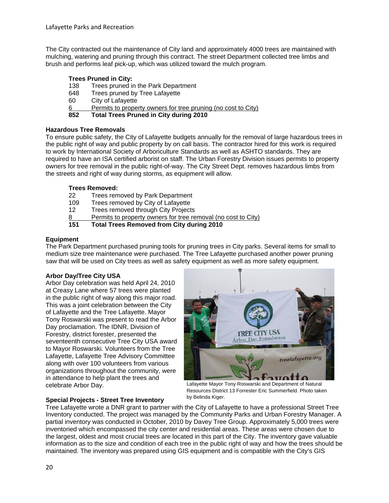The City contracted out the maintenance of City land and approximately 4000 trees are maintained with mulching, watering and pruning through this contract. The street Department collected tree limbs and brush and performs leaf pick-up, which was utilized toward the mulch program.

# **Trees Pruned in City:**

- 138 Trees pruned in the Park Department
- 648 Trees pruned by Tree Lafayette
- 60 City of Lafayette
- 6 Permits to property owners for tree pruning (no cost to City)<br>852 Total Trees Pruned in City during 2010

**852 Total Trees Pruned in City during 2010** 

#### **Hazardous Tree Removals**

To ensure public safety, the City of Lafayette budgets annually for the removal of large hazardous trees in the public right of way and public property by on call basis. The contractor hired for this work is required to work by International Society of Arboriculture Standards as well as ASHTO standards. They are required to have an ISA certified arborist on staff. The Urban Forestry Division issues permits to property owners for tree removal in the public right-of-way. The City Street Dept. removes hazardous limbs from the streets and right of way during storms, as equipment will allow.

### **Trees Removed:**

| 151 | <b>Total Trees Removed from City during 2010</b>              |
|-----|---------------------------------------------------------------|
| 8   | Permits to property owners for tree removal (no cost to City) |
| 12  | Trees removed through City Projects                           |
| 109 | Trees removed by City of Lafayette                            |
| 22  | Trees removed by Park Department                              |

#### **Equipment**

The Park Department purchased pruning tools for pruning trees in City parks. Several items for small to medium size tree maintenance were purchased. The Tree Lafayette purchased another power pruning saw that will be used on City trees as well as safety equipment as well as more safety equipment.

# **Arbor Day/Tree City USA**

Arbor Day celebration was held April 24, 2010 at Creasy Lane where 57 trees were planted in the public right of way along this major road. This was a joint celebration between the City of Lafayette and the Tree Lafayette. Mayor Tony Roswarski was present to read the Arbor Day proclamation. The IDNR, Division of Forestry, district forester, presented the seventeenth consecutive Tree City USA award to Mayor Roswarski. Volunteers from the Tree Lafayette, Lafayette Tree Advisory Committee along with over 100 volunteers from various organizations throughout the community, were in attendance to help plant the trees and celebrate Arbor Day.



Lafayette Mayor Tony Roswarski and Department of Natural Resources District 13 Forrester Eric Summerfield. Photo taken by Belinda Kiger.

# **Special Projects - Street Tree Inventory**

Tree Lafayette wrote a DNR grant to partner with the City of Lafayette to have a professional Street Tree Inventory conducted. The project was managed by the Community Parks and Urban Forestry Manager. A partial inventory was conducted in October, 2010 by Davey Tree Group. Approximately 5,000 trees were inventoried which encompassed the city center and residential areas. These areas were chosen due to the largest, oldest and most crucial trees are located in this part of the City. The inventory gave valuable information as to the size and condition of each tree in the public right of way and how the trees should be maintained. The inventory was prepared using GIS equipment and is compatible with the City's GIS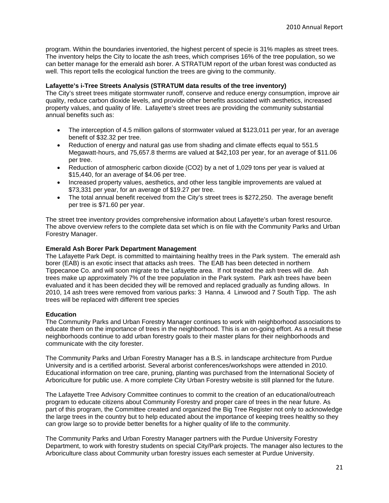program. Within the boundaries inventoried, the highest percent of specie is 31% maples as street trees. The inventory helps the City to locate the ash trees, which comprises 16% of the tree population, so we can better manage for the emerald ash borer. A STRATUM report of the urban forest was conducted as well. This report tells the ecological function the trees are giving to the community.

#### **Lafayette's i-Tree Streets Analysis (STRATUM data results of the tree inventory)**

The City's street trees mitigate stormwater runoff, conserve and reduce energy consumption, improve air quality, reduce carbon dioxide levels, and provide other benefits associated with aesthetics, increased property values, and quality of life. Lafayette's street trees are providing the community substantial annual benefits such as:

- The interception of 4.5 million gallons of stormwater valued at \$123,011 per year, for an average benefit of \$32.32 per tree.
- Reduction of energy and natural gas use from shading and climate effects equal to 551.5 Megawatt-hours, and 75,657.8 therms are valued at \$42,103 per year, for an average of \$11.06 per tree.
- Reduction of atmospheric carbon dioxide (CO2) by a net of 1,029 tons per year is valued at \$15,440, for an average of \$4.06 per tree.
- Increased property values, aesthetics, and other less tangible improvements are valued at \$73,331 per year, for an average of \$19.27 per tree.
- The total annual benefit received from the City's street trees is \$272,250. The average benefit per tree is \$71.60 per year.

The street tree inventory provides comprehensive information about Lafayette's urban forest resource. The above overview refers to the complete data set which is on file with the Community Parks and Urban Forestry Manager.

#### **Emerald Ash Borer Park Department Management**

The Lafayette Park Dept. is committed to maintaining healthy trees in the Park system. The emerald ash borer (EAB) is an exotic insect that attacks ash trees. The EAB has been detected in northern Tippecanoe Co. and will soon migrate to the Lafayette area. If not treated the ash trees will die. Ash trees make up approximately 7% of the tree population in the Park system. Park ash trees have been evaluated and it has been decided they will be removed and replaced gradually as funding allows. In 2010, 14 ash trees were removed from various parks: 3 Hanna. 4 Linwood and 7 South Tipp. The ash trees will be replaced with different tree species

#### **Education**

The Community Parks and Urban Forestry Manager continues to work with neighborhood associations to educate them on the importance of trees in the neighborhood. This is an on-going effort. As a result these neighborhoods continue to add urban forestry goals to their master plans for their neighborhoods and communicate with the city forester.

The Community Parks and Urban Forestry Manager has a B.S. in landscape architecture from Purdue University and is a certified arborist. Several arborist conferences/workshops were attended in 2010. Educational information on tree care, pruning, planting was purchased from the International Society of Arboriculture for public use. A more complete City Urban Forestry website is still planned for the future.

The Lafayette Tree Advisory Committee continues to commit to the creation of an educational/outreach program to educate citizens about Community Forestry and proper care of trees in the near future. As part of this program, the Committee created and organized the Big Tree Register not only to acknowledge the large trees in the country but to help educated about the importance of keeping trees healthy so they can grow large so to provide better benefits for a higher quality of life to the community.

The Community Parks and Urban Forestry Manager partners with the Purdue University Forestry Department, to work with forestry students on special City/Park projects. The manager also lectures to the Arboriculture class about Community urban forestry issues each semester at Purdue University.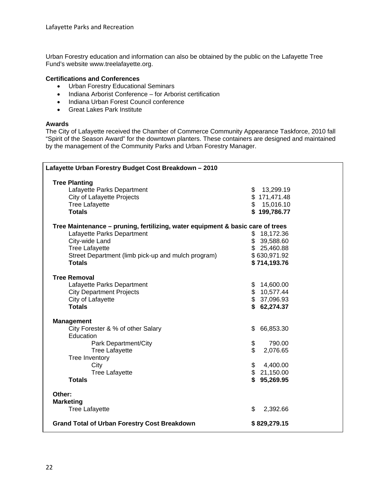Urban Forestry education and information can also be obtained by the public on the Lafayette Tree Fund's website www.treelafayette.org.

#### **Certifications and Conferences**

- Urban Forestry Educational Seminars
- Indiana Arborist Conference for Arborist certification
- Indiana Urban Forest Council conference
- Great Lakes Park Institute

#### **Awards**

The City of Lafayette received the Chamber of Commerce Community Appearance Taskforce, 2010 fall "Spirit of the Season Award" for the downtown planters. These containers are designed and maintained by the management of the Community Parks and Urban Forestry Manager.

| Lafayette Urban Forestry Budget Cost Breakdown - 2010                          |                 |  |  |
|--------------------------------------------------------------------------------|-----------------|--|--|
| <b>Tree Planting</b>                                                           |                 |  |  |
| Lafayette Parks Department                                                     | 13,299.19<br>\$ |  |  |
| City of Lafayette Projects                                                     | \$171,471.48    |  |  |
| <b>Tree Lafayette</b>                                                          | \$<br>15,016.10 |  |  |
| <b>Totals</b>                                                                  | \$199,786.77    |  |  |
| Tree Maintenance - pruning, fertilizing, water equipment & basic care of trees |                 |  |  |
| Lafayette Parks Department                                                     | 18,172.36<br>\$ |  |  |
| City-wide Land                                                                 | \$<br>39,588.60 |  |  |
| <b>Tree Lafayette</b>                                                          | \$25,460.88     |  |  |
| Street Department (limb pick-up and mulch program)                             | \$630,971.92    |  |  |
| <b>Totals</b>                                                                  | \$714,193.76    |  |  |
| <b>Tree Removal</b>                                                            |                 |  |  |
| Lafayette Parks Department                                                     | \$<br>14,600.00 |  |  |
| <b>City Department Projects</b>                                                | \$<br>10,577.44 |  |  |
| City of Lafayette                                                              | \$<br>37,096.93 |  |  |
| <b>Totals</b>                                                                  | \$<br>62,274.37 |  |  |
| <b>Management</b>                                                              |                 |  |  |
| City Forester & % of other Salary                                              | 66,853.30<br>\$ |  |  |
| Education                                                                      |                 |  |  |
| Park Department/City                                                           | \$<br>790.00    |  |  |
| <b>Tree Lafayette</b>                                                          | \$<br>2,076.65  |  |  |
| Tree Inventory                                                                 |                 |  |  |
| City                                                                           | \$<br>4,400.00  |  |  |
| <b>Tree Lafayette</b>                                                          | \$21,150.00     |  |  |
| <b>Totals</b>                                                                  | \$<br>95,269.95 |  |  |
| Other:                                                                         |                 |  |  |
| <b>Marketing</b>                                                               |                 |  |  |
| <b>Tree Lafayette</b>                                                          | \$<br>2,392.66  |  |  |
| <b>Grand Total of Urban Forestry Cost Breakdown</b>                            | \$829,279.15    |  |  |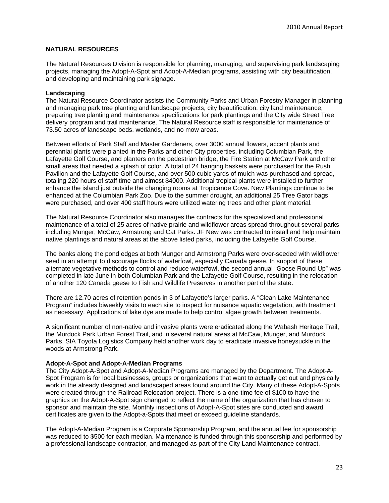#### **NATURAL RESOURCES**

The Natural Resources Division is responsible for planning, managing, and supervising park landscaping projects, managing the Adopt-A-Spot and Adopt-A-Median programs, assisting with city beautification, and developing and maintaining park signage.

#### **Landscaping**

The Natural Resource Coordinator assists the Community Parks and Urban Forestry Manager in planning and managing park tree planting and landscape projects, city beautification, city land maintenance, preparing tree planting and maintenance specifications for park plantings and the City wide Street Tree delivery program and trail maintenance. The Natural Resource staff is responsible for maintenance of 73.50 acres of landscape beds, wetlands, and no mow areas.

Between efforts of Park Staff and Master Gardeners, over 3000 annual flowers, accent plants and perennial plants were planted in the Parks and other City properties, including Columbian Park, the Lafayette Golf Course, and planters on the pedestrian bridge, the Fire Station at McCaw Park and other small areas that needed a splash of color. A total of 24 hanging baskets were purchased for the Rush Pavilion and the Lafayette Golf Course, and over 500 cubic yards of mulch was purchased and spread, totaling 220 hours of staff time and almost \$4000. Additional tropical plants were installed to further enhance the island just outside the changing rooms at Tropicanoe Cove. New Plantings continue to be enhanced at the Columbian Park Zoo. Due to the summer drought, an additional 25 Tree Gator bags were purchased, and over 400 staff hours were utilized watering trees and other plant material.

The Natural Resource Coordinator also manages the contracts for the specialized and professional maintenance of a total of 25 acres of native prairie and wildflower areas spread throughout several parks including Munger, McCaw, Armstrong and Cat Parks. JF New was contracted to install and help maintain native plantings and natural areas at the above listed parks, including the Lafayette Golf Course.

The banks along the pond edges at both Munger and Armstrong Parks were over-seeded with wildflower seed in an attempt to discourage flocks of waterfowl, especially Canada geese. In support of these alternate vegetative methods to control and reduce waterfowl, the second annual "Goose Round Up" was completed in late June in both Columbian Park and the Lafayette Golf Course, resulting in the relocation of another 120 Canada geese to Fish and Wildlife Preserves in another part of the state.

There are 12.70 acres of retention ponds in 3 of Lafayette's larger parks. A "Clean Lake Maintenance Program" includes biweekly visits to each site to inspect for nuisance aquatic vegetation, with treatment as necessary. Applications of lake dye are made to help control algae growth between treatments.

A significant number of non-native and invasive plants were eradicated along the Wabash Heritage Trail, the Murdock Park Urban Forest Trail, and in several natural areas at McCaw, Munger, and Murdock Parks. SIA Toyota Logistics Company held another work day to eradicate invasive honeysuckle in the woods at Armstrong Park.

#### **Adopt-A-Spot and Adopt-A-Median Programs**

The City Adopt-A-Spot and Adopt-A-Median Programs are managed by the Department. The Adopt-A-Spot Program is for local businesses, groups or organizations that want to actually get out and physically work in the already designed and landscaped areas found around the City. Many of these Adopt-A-Spots were created through the Railroad Relocation project. There is a one-time fee of \$100 to have the graphics on the Adopt-A-Spot sign changed to reflect the name of the organization that has chosen to sponsor and maintain the site. Monthly inspections of Adopt-A-Spot sites are conducted and award certificates are given to the Adopt-a-Spots that meet or exceed guideline standards.

The Adopt-A-Median Program is a Corporate Sponsorship Program, and the annual fee for sponsorship was reduced to \$500 for each median. Maintenance is funded through this sponsorship and performed by a professional landscape contractor, and managed as part of the City Land Maintenance contract.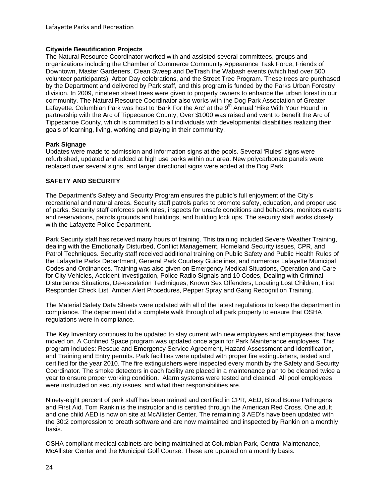#### **Citywide Beautification Projects**

The Natural Resource Coordinator worked with and assisted several committees, groups and organizations including the Chamber of Commerce Community Appearance Task Force, Friends of Downtown, Master Gardeners, Clean Sweep and DeTrash the Wabash events (which had over 500 volunteer participants), Arbor Day celebrations, and the Street Tree Program. These trees are purchased by the Department and delivered by Park staff, and this program is funded by the Parks Urban Forestry division. In 2009, nineteen street trees were given to property owners to enhance the urban forest in our community. The Natural Resource Coordinator also works with the Dog Park Association of Greater Lafayette. Columbian Park was host to 'Bark For the Arc' at the 9<sup>th</sup> Annual 'Hike With Your Hound' in partnership with the Arc of Tippecanoe County, Over \$1000 was raised and went to benefit the Arc of Tippecanoe County, which is committed to all individuals with developmental disabilities realizing their goals of learning, living, working and playing in their community.

#### **Park Signage**

Updates were made to admission and information signs at the pools. Several 'Rules' signs were refurbished, updated and added at high use parks within our area. New polycarbonate panels were replaced over several signs, and larger directional signs were added at the Dog Park.

#### **SAFETY AND SECURITY**

The Department's Safety and Security Program ensures the public's full enjoyment of the City's recreational and natural areas. Security staff patrols parks to promote safety, education, and proper use of parks. Security staff enforces park rules, inspects for unsafe conditions and behaviors, monitors events and reservations, patrols grounds and buildings, and building lock ups. The security staff works closely with the Lafayette Police Department.

Park Security staff has received many hours of training. This training included Severe Weather Training, dealing with the Emotionally Disturbed, Conflict Management, Homeland Security issues, CPR, and Patrol Techniques. Security staff received additional training on Public Safety and Public Health Rules of the Lafayette Parks Department, General Park Courtesy Guidelines, and numerous Lafayette Municipal Codes and Ordinances. Training was also given on Emergency Medical Situations, Operation and Care for City Vehicles, Accident Investigation, Police Radio Signals and 10 Codes, Dealing with Criminal Disturbance Situations, De-escalation Techniques, Known Sex Offenders, Locating Lost Children, First Responder Check List, Amber Alert Procedures, Pepper Spray and Gang Recognition Training.

The Material Safety Data Sheets were updated with all of the latest regulations to keep the department in compliance. The department did a complete walk through of all park property to ensure that OSHA regulations were in compliance.

The Key Inventory continues to be updated to stay current with new employees and employees that have moved on. A Confined Space program was updated once again for Park Maintenance employees. This program includes: Rescue and Emergency Service Agreement, Hazard Assessment and Identification, and Training and Entry permits. Park facilities were updated with proper fire extinguishers, tested and certified for the year 2010. The fire extinguishers were inspected every month by the Safety and Security Coordinator. The smoke detectors in each facility are placed in a maintenance plan to be cleaned twice a year to ensure proper working condition. Alarm systems were tested and cleaned. All pool employees were instructed on security issues, and what their responsibilities are.

Ninety-eight percent of park staff has been trained and certified in CPR, AED, Blood Borne Pathogens and First Aid. Tom Rankin is the instructor and is certified through the American Red Cross. One adult and one child AED is now on site at McAllister Center. The remaining 3 AED's have been updated with the 30:2 compression to breath software and are now maintained and inspected by Rankin on a monthly basis.

OSHA compliant medical cabinets are being maintained at Columbian Park, Central Maintenance, McAllister Center and the Municipal Golf Course. These are updated on a monthly basis.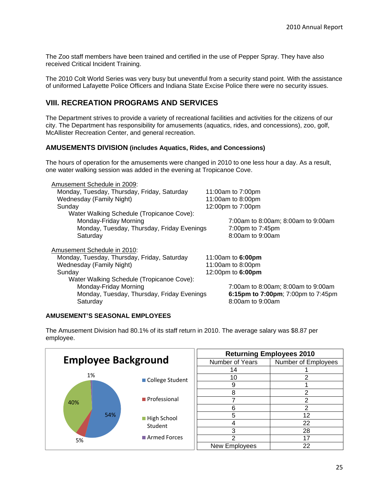The Zoo staff members have been trained and certified in the use of Pepper Spray. They have also received Critical Incident Training.

The 2010 Colt World Series was very busy but uneventful from a security stand point. With the assistance of uniformed Lafayette Police Officers and Indiana State Excise Police there were no security issues.

# **VIII. RECREATION PROGRAMS AND SERVICES**

The Department strives to provide a variety of recreational facilities and activities for the citizens of our city. The Department has responsibility for amusements (aquatics, rides, and concessions), zoo, golf, McAllister Recreation Center, and general recreation.

#### **AMUSEMENTS DIVISION (includes Aquatics, Rides, and Concessions)**

The hours of operation for the amusements were changed in 2010 to one less hour a day. As a result, one water walking session was added in the evening at Tropicanoe Cove.

| Amusement Schedule in 2009:                 |                                    |
|---------------------------------------------|------------------------------------|
| Monday, Tuesday, Thursday, Friday, Saturday | 11:00am to 7:00pm                  |
| Wednesday (Family Night)                    | 11:00am to 8:00pm                  |
| Sunday                                      | 12:00pm to 7:00pm                  |
| Water Walking Schedule (Tropicanoe Cove):   |                                    |
| Monday-Friday Morning                       | 7:00am to 8:00am; 8:00am to 9:00am |
| Monday, Tuesday, Thursday, Friday Evenings  | 7:00pm to 7:45pm                   |
| Saturday                                    | 8:00am to 9:00am                   |
|                                             |                                    |
| Amusement Schedule in 2010:                 |                                    |
| Monday, Tuesday, Thursday, Friday, Saturday | 11:00am to 6:00pm                  |
| Wednesday (Family Night)                    | 11:00am to 8:00pm                  |
| Sunday                                      | 12:00pm to 6:00pm                  |
| Water Walking Schedule (Tropicanoe Cove):   |                                    |
| Monday-Friday Morning                       | 7:00am to 8:00am; 8:00am to 9:00am |
| Monday, Tuesday, Thursday, Friday Evenings  | 6:15pm to 7:00pm; 7:00pm to 7:45pm |
| Saturdav                                    | 8:00am to 9:00am                   |

#### **AMUSEMENT'S SEASONAL EMPLOYEES**

employee. **Returning Employees 2010** 

The Amusement Division had 80.1% of its staff return in 2010. The average salary was \$8.87 per

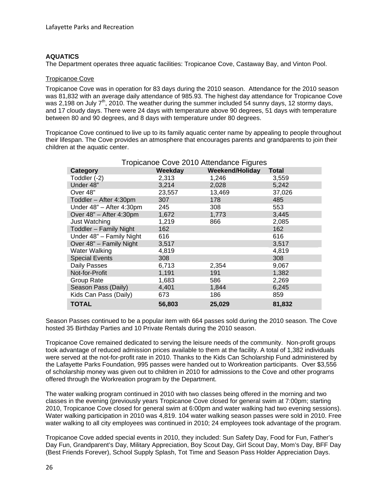#### **AQUATICS**

The Department operates three aquatic facilities: Tropicanoe Cove, Castaway Bay, and Vinton Pool.

#### Tropicanoe Cove

Tropicanoe Cove was in operation for 83 days during the 2010 season. Attendance for the 2010 season was 81,832 with an average daily attendance of 985.93. The highest day attendance for Tropicanoe Cove was 2,198 on July  $7<sup>th</sup>$ , 2010. The weather during the summer included 54 sunny days, 12 stormy days, and 17 cloudy days. There were 24 days with temperature above 90 degrees, 51 days with temperature between 80 and 90 degrees, and 8 days with temperature under 80 degrees.

Tropicanoe Cove continued to live up to its family aquatic center name by appealing to people throughout their lifespan. The Cove provides an atmosphere that encourages parents and grandparents to join their children at the aquatic center.

| Tropicanoe Cove 2010 Attendance Figures |         |                        |              |
|-----------------------------------------|---------|------------------------|--------------|
| Category                                | Weekday | <b>Weekend/Holiday</b> | <b>Total</b> |
| Toddler (-2)                            | 2,313   | 1,246                  | 3,559        |
| Under 48"                               | 3,214   | 2,028                  | 5,242        |
| Over 48"                                | 23,557  | 13,469                 | 37,026       |
| Toddler - After 4:30pm                  | 307     | 178                    | 485          |
| Under 48" - After 4:30pm                | 245     | 308                    | 553          |
| Over 48" - After 4:30pm                 | 1,672   | 1,773                  | 3,445        |
| Just Watching                           | 1,219   | 866                    | 2,085        |
| Toddler - Family Night                  | 162     |                        | 162          |
| Under 48" - Family Night                | 616     |                        | 616          |
| Over 48" - Family Night                 | 3,517   |                        | 3,517        |
| <b>Water Walking</b>                    | 4,819   |                        | 4,819        |
| <b>Special Events</b>                   | 308     |                        | 308          |
| Daily Passes                            | 6,713   | 2,354                  | 9,067        |
| Not-for-Profit                          | 1,191   | 191                    | 1,382        |
| Group Rate                              | 1,683   | 586                    | 2,269        |
| Season Pass (Daily)                     | 4,401   | 1,844                  | 6,245        |
| Kids Can Pass (Daily)                   | 673     | 186                    | 859          |
| <b>TOTAL</b>                            | 56,803  | 25,029                 | 81,832       |

Season Passes continued to be a popular item with 664 passes sold during the 2010 season. The Cove hosted 35 Birthday Parties and 10 Private Rentals during the 2010 season.

Tropicanoe Cove remained dedicated to serving the leisure needs of the community. Non-profit groups took advantage of reduced admission prices available to them at the facility. A total of 1,382 individuals were served at the not-for-profit rate in 2010. Thanks to the Kids Can Scholarship Fund administered by the Lafayette Parks Foundation, 995 passes were handed out to Workreation participants. Over \$3,556 of scholarship money was given out to children in 2010 for admissions to the Cove and other programs offered through the Workreation program by the Department.

The water walking program continued in 2010 with two classes being offered in the morning and two classes in the evening (previously years Tropicanoe Cove closed for general swim at 7:00pm; starting 2010, Tropicanoe Cove closed for general swim at 6:00pm and water walking had two evening sessions). Water walking participation in 2010 was 4,819. 104 water walking season passes were sold in 2010. Free water walking to all city employees was continued in 2010; 24 employees took advantage of the program.

Tropicanoe Cove added special events in 2010, they included: Sun Safety Day, Food for Fun, Father's Day Fun, Grandparent's Day, Military Appreciation, Boy Scout Day, Girl Scout Day, Mom's Day, BFF Day (Best Friends Forever), School Supply Splash, Tot Time and Season Pass Holder Appreciation Days.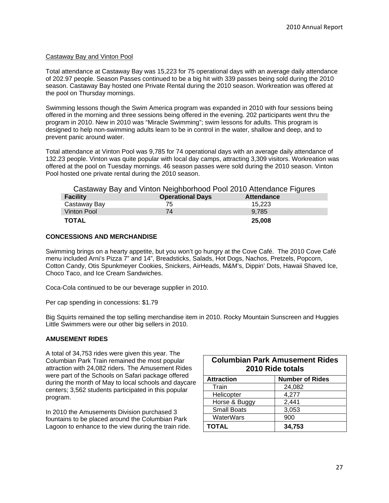#### Castaway Bay and Vinton Pool

Total attendance at Castaway Bay was 15,223 for 75 operational days with an average daily attendance of 202.97 people. Season Passes continued to be a big hit with 339 passes being sold during the 2010 season. Castaway Bay hosted one Private Rental during the 2010 season. Workreation was offered at the pool on Thursday mornings.

Swimming lessons though the Swim America program was expanded in 2010 with four sessions being offered in the morning and three sessions being offered in the evening. 202 participants went thru the program in 2010. New in 2010 was "Miracle Swimming"; swim lessons for adults. This program is designed to help non-swimming adults learn to be in control in the water, shallow and deep, and to prevent panic around water.

Total attendance at Vinton Pool was 9,785 for 74 operational days with an average daily attendance of 132.23 people. Vinton was quite popular with local day camps, attracting 3,309 visitors. Workreation was offered at the pool on Tuesday mornings. 46 season passes were sold during the 2010 season. Vinton Pool hosted one private rental during the 2010 season.

| Castaway Bay and Vinton Neighborhood Pool 2010 Attendance Figures |                         |                   |  |  |
|-------------------------------------------------------------------|-------------------------|-------------------|--|--|
| <b>Facility</b>                                                   | <b>Operational Days</b> | <b>Attendance</b> |  |  |
| Castaway Bay                                                      | 75                      | 15.223            |  |  |
| Vinton Pool                                                       | 74                      | 9.785             |  |  |
| <b>TOTAL</b>                                                      |                         | 25,008            |  |  |

#### **CONCESSIONS AND MERCHANDISE**

Swimming brings on a hearty appetite, but you won't go hungry at the Cove Café. The 2010 Cove Café menu included Arni's Pizza 7" and 14", Breadsticks, Salads, Hot Dogs, Nachos, Pretzels, Popcorn, Cotton Candy, Otis Spunkmeyer Cookies, Snickers, AirHeads, M&M's, Dippin' Dots, Hawaii Shaved Ice, Choco Taco, and Ice Cream Sandwiches.

Coca-Cola continued to be our beverage supplier in 2010.

Per cap spending in concessions: \$1.79

Big Squirts remained the top selling merchandise item in 2010. Rocky Mountain Sunscreen and Huggies Little Swimmers were our other big sellers in 2010.

#### **AMUSEMENT RIDES**

A total of 34,753 rides were given this year. The Columbian Park Train remained the most popular attraction with 24,082 riders. The Amusement Rides were part of the Schools on Safari package offered during the month of May to local schools and daycare centers; 3,562 students participated in this popular program.

In 2010 the Amusements Division purchased 3 fountains to be placed around the Columbian Park Lagoon to enhance to the view during the train ride.

| <b>Columbian Park Amusement Rides</b><br>2010 Ride totals |                        |  |  |
|-----------------------------------------------------------|------------------------|--|--|
| <b>Attraction</b>                                         | <b>Number of Rides</b> |  |  |
| Train                                                     | 24,082                 |  |  |
| Helicopter                                                | 4,277                  |  |  |
| Horse & Buggy                                             | 2,441                  |  |  |
| <b>Small Boats</b>                                        | 3,053                  |  |  |
| WaterWars                                                 | 900                    |  |  |
| <b>TOTAL</b>                                              | 34,753                 |  |  |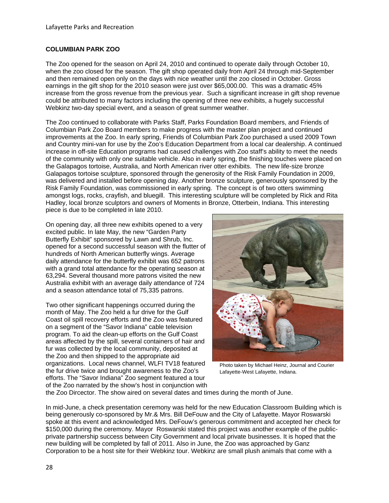#### **COLUMBIAN PARK ZOO**

The Zoo opened for the season on April 24, 2010 and continued to operate daily through October 10, when the zoo closed for the season. The gift shop operated daily from April 24 through mid-September and then remained open only on the days with nice weather until the zoo closed in October. Gross earnings in the gift shop for the 2010 season were just over \$65,000.00. This was a dramatic 45% increase from the gross revenue from the previous year. Such a significant increase in gift shop revenue could be attributed to many factors including the opening of three new exhibits, a hugely successful Webkinz two-day special event, and a season of great summer weather.

The Zoo continued to collaborate with Parks Staff, Parks Foundation Board members, and Friends of Columbian Park Zoo Board members to make progress with the master plan project and continued improvements at the Zoo. In early spring, Friends of Columbian Park Zoo purchased a used 2009 Town and Country mini-van for use by the Zoo's Education Department from a local car dealership. A continued increase in off-site Education programs had caused challenges with Zoo staff's ability to meet the needs of the community with only one suitable vehicle. Also in early spring, the finishing touches were placed on the Galapagos tortoise, Australia, and North American river otter exhibits. The new life-size bronze Galapagos tortoise sculpture, sponsored through the generosity of the Risk Family Foundation in 2009, was delivered and installed before opening day. Another bronze sculpture, generously sponsored by the Risk Family Foundation, was commissioned in early spring. The concept is of two otters swimming amongst logs, rocks, crayfish, and bluegill. This interesting sculpture will be completed by Rick and Rita Hadley, local bronze sculptors and owners of Moments in Bronze, Otterbein, Indiana. This interesting piece is due to be completed in late 2010.

On opening day, all three new exhibits opened to a very excited public. In late May, the new "Garden Party Butterfly Exhibit" sponsored by Lawn and Shrub, Inc. opened for a second successful season with the flutter of hundreds of North American butterfly wings. Average daily attendance for the butterfly exhibit was 652 patrons with a grand total attendance for the operating season at 63,294. Several thousand more patrons visited the new Australia exhibit with an average daily attendance of 724 and a season attendance total of 75,335 patrons.

Two other significant happenings occurred during the month of May. The Zoo held a fur drive for the Gulf Coast oil spill recovery efforts and the Zoo was featured on a segment of the "Savor Indiana" cable television program. To aid the clean-up efforts on the Gulf Coast areas affected by the spill, several containers of hair and fur was collected by the local community, deposited at the Zoo and then shipped to the appropriate aid organizations. Local news channel, WLFI TV18 featured the fur drive twice and brought awareness to the Zoo's efforts. The "Savor Indiana" Zoo segment featured a tour of the Zoo narrated by the show's host in conjunction with



Photo taken by Michael Heinz, Journal and Courier Lafayette-West Lafayette, Indiana.

the Zoo Dircector. The show aired on several dates and times during the month of June.

In mid-June, a check presentation ceremony was held for the new Education Classroom Building which is being generously co-sponsored by Mr.& Mrs. Bill DeFouw and the City of Lafayette. Mayor Roswarski spoke at this event and acknowledged Mrs. DeFouw's generous commitment and accepted her check for \$150,000 during the ceremony. Mayor Roswarski stated this project was another example of the publicprivate partnership success between City Government and local private businesses. It is hoped that the new building will be completed by fall of 2011. Also in June, the Zoo was approached by Ganz Corporation to be a host site for their Webkinz tour. Webkinz are small plush animals that come with a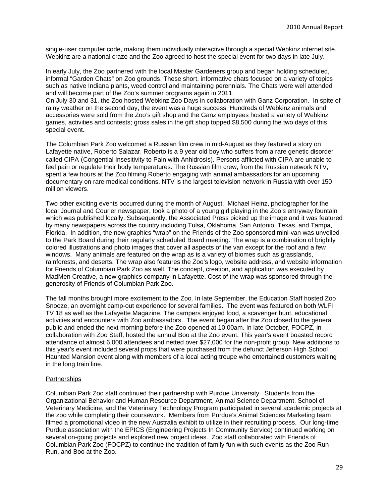single-user computer code, making them individually interactive through a special Webkinz internet site. Webkinz are a national craze and the Zoo agreed to host the special event for two days in late July.

In early July, the Zoo partnered with the local Master Gardeners group and began holding scheduled, informal "Garden Chats" on Zoo grounds. These short, informative chats focused on a variety of topics such as native Indiana plants, weed control and maintaining perennials. The Chats were well attended and will become part of the Zoo's summer programs again in 2011.

On July 30 and 31, the Zoo hosted Webkinz Zoo Days in collaboration with Ganz Corporation. In spite of rainy weather on the second day, the event was a huge success. Hundreds of Webkinz animals and accessories were sold from the Zoo's gift shop and the Ganz employees hosted a variety of Webkinz games, activities and contests; gross sales in the gift shop topped \$8,500 during the two days of this special event.

The Columbian Park Zoo welcomed a Russian film crew in mid-August as they featured a story on Lafayette native, Roberto Salazar. Roberto is a 9 year old boy who suffers from a rare genetic disorder called CIPA (Congential Insesitivity to Pain with Anhidrosis). Persons afflicted with CIPA are unable to feel pain or regulate their body temperatures. The Russian film crew, from the Russian network NTV, spent a few hours at the Zoo filming Roberto engaging with animal ambassadors for an upcoming documentary on rare medical conditions. NTV is the largest television network in Russia with over 150 million viewers.

Two other exciting events occurred during the month of August. Michael Heinz, photographer for the local Journal and Courier newspaper, took a photo of a young girl playing in the Zoo's entryway fountain which was published locally. Subsequently, the Associated Press picked up the image and it was featured by many newspapers across the country including Tulsa, Oklahoma, San Antonio, Texas, and Tampa, Florida. In addition, the new graphics "wrap" on the Friends of the Zoo sponsored mini-van was unveiled to the Park Board during their regularly scheduled Board meeting. The wrap is a combination of brightly colored illustrations and photo images that cover all aspects of the van except for the roof and a few windows. Many animals are featured on the wrap as is a variety of biomes such as grasslands, rainforests, and deserts. The wrap also features the Zoo's logo, website address, and website information for Friends of Columbian Park Zoo as well. The concept, creation, and application was executed by MadMen Creative, a new graphics company in Lafayette. Cost of the wrap was sponsored through the generosity of Friends of Columbian Park Zoo.

The fall months brought more excitement to the Zoo. In late September, the Education Staff hosted Zoo Snooze, an overnight camp-out experience for several families. The event was featured on both WLFI TV 18 as well as the Lafayette Magazine. The campers enjoyed food, a scavenger hunt, educational activities and encounters with Zoo ambassadors. The event began after the Zoo closed to the general public and ended the next morning before the Zoo opened at 10:00am. In late October, FOCPZ, in collaboration with Zoo Staff, hosted the annual Boo at the Zoo event. This year's event boasted record attendance of almost 6,000 attendees and netted over \$27,000 for the non-profit group. New additions to this year's event included several props that were purchased from the defunct Jefferson High School Haunted Mansion event along with members of a local acting troupe who entertained customers waiting in the long train line.

#### **Partnerships**

Columbian Park Zoo staff continued their partnership with Purdue University. Students from the Organizational Behavior and Human Resource Department, Animal Science Department, School of Veterinary Medicine, and the Veterinary Technology Program participated in several academic projects at the zoo while completing their coursework. Members from Purdue's Animal Sciences Marketing team filmed a promotional video in the new Australia exhibit to utilize in their recruiting process. Our long-time Purdue association with the EPICS (Engineering Projects In Community Service) continued working on several on-going projects and explored new project ideas. Zoo staff collaborated with Friends of Columbian Park Zoo (FOCPZ) to continue the tradition of family fun with such events as the Zoo Run Run, and Boo at the Zoo.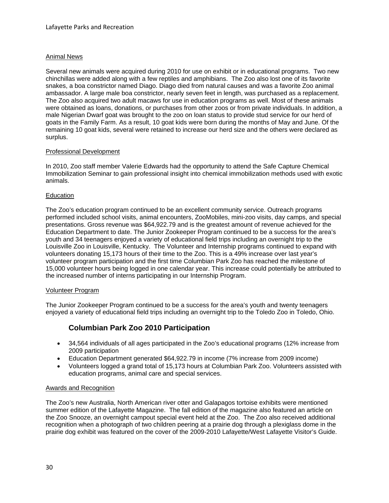#### Animal News

Several new animals were acquired during 2010 for use on exhibit or in educational programs. Two new chinchillas were added along with a few reptiles and amphibians. The Zoo also lost one of its favorite snakes, a boa constrictor named Diago. Diago died from natural causes and was a favorite Zoo animal ambassador. A large male boa constrictor, nearly seven feet in length, was purchased as a replacement. The Zoo also acquired two adult macaws for use in education programs as well. Most of these animals were obtained as loans, donations, or purchases from other zoos or from private individuals. In addition, a male Nigerian Dwarf goat was brought to the zoo on loan status to provide stud service for our herd of goats in the Family Farm. As a result, 10 goat kids were born during the months of May and June. Of the remaining 10 goat kids, several were retained to increase our herd size and the others were declared as surplus.

#### Professional Development

In 2010, Zoo staff member Valerie Edwards had the opportunity to attend the Safe Capture Chemical Immobilization Seminar to gain professional insight into chemical immobilization methods used with exotic animals.

#### Education

The Zoo's education program continued to be an excellent community service. Outreach programs performed included school visits, animal encounters, ZooMobiles, mini-zoo visits, day camps, and special presentations. Gross revenue was \$64,922.79 and is the greatest amount of revenue achieved for the Education Department to date. The Junior Zookeeper Program continued to be a success for the area's youth and 34 teenagers enjoyed a variety of educational field trips including an overnight trip to the Louisville Zoo in Louisville, Kentucky. The Volunteer and Internship programs continued to expand with volunteers donating 15,173 hours of their time to the Zoo. This is a 49% increase over last year's volunteer program participation and the first time Columbian Park Zoo has reached the milestone of 15,000 volunteer hours being logged in one calendar year. This increase could potentially be attributed to the increased number of interns participating in our Internship Program.

#### Volunteer Program

The Junior Zookeeper Program continued to be a success for the area's youth and twenty teenagers enjoyed a variety of educational field trips including an overnight trip to the Toledo Zoo in Toledo, Ohio.

# **Columbian Park Zoo 2010 Participation**

- 34,564 individuals of all ages participated in the Zoo's educational programs (12% increase from 2009 participation
- Education Department generated \$64,922.79 in income (7% increase from 2009 income)
- Volunteers logged a grand total of 15,173 hours at Columbian Park Zoo. Volunteers assisted with education programs, animal care and special services.

#### Awards and Recognition

The Zoo's new Australia, North American river otter and Galapagos tortoise exhibits were mentioned summer edition of the Lafayette Magazine. The fall edition of the magazine also featured an article on the Zoo Snooze, an overnight campout special event held at the Zoo. The Zoo also received additional recognition when a photograph of two children peering at a prairie dog through a plexiglass dome in the prairie dog exhibit was featured on the cover of the 2009-2010 Lafayette/West Lafayette Visitor's Guide.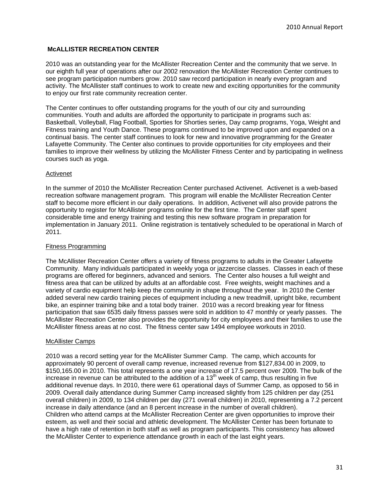#### **McALLISTER RECREATION CENTER**

2010 was an outstanding year for the McAllister Recreation Center and the community that we serve. In our eighth full year of operations after our 2002 renovation the McAllister Recreation Center continues to see program participation numbers grow. 2010 saw record participation in nearly every program and activity. The McAllister staff continues to work to create new and exciting opportunities for the community to enjoy our first rate community recreation center.

The Center continues to offer outstanding programs for the youth of our city and surrounding communities. Youth and adults are afforded the opportunity to participate in programs such as: Basketball, Volleyball, Flag Football, Sporties for Shorties series, Day camp programs, Yoga, Weight and Fitness training and Youth Dance. These programs continued to be improved upon and expanded on a continual basis. The center staff continues to look for new and innovative programming for the Greater Lafayette Community. The Center also continues to provide opportunities for city employees and their families to improve their wellness by utilizing the McAllister Fitness Center and by participating in wellness courses such as yoga.

#### Activenet

In the summer of 2010 the McAllister Recreation Center purchased Activenet. Activenet is a web-based recreation software management program. This program will enable the McAllister Recreation Center staff to become more efficient in our daily operations. In addition, Activenet will also provide patrons the opportunity to register for McAllister programs online for the first time. The Center staff spent considerable time and energy training and testing this new software program in preparation for implementation in January 2011. Online registration is tentatively scheduled to be operational in March of 2011.

#### Fitness Programming

The McAllister Recreation Center offers a variety of fitness programs to adults in the Greater Lafayette Community. Many individuals participated in weekly yoga or jazzercise classes. Classes in each of these programs are offered for beginners, advanced and seniors. The Center also houses a full weight and fitness area that can be utilized by adults at an affordable cost. Free weights, weight machines and a variety of cardio equipment help keep the community in shape throughout the year. In 2010 the Center added several new cardio training pieces of equipment including a new treadmill, upright bike, recumbent bike, an espinner training bike and a total body trainer. 2010 was a record breaking year for fitness participation that saw 6535 daily fitness passes were sold in addition to 47 monthly or yearly passes. The McAllister Recreation Center also provides the opportunity for city employees and their families to use the McAllister fitness areas at no cost. The fitness center saw 1494 employee workouts in 2010.

#### McAllister Camps

2010 was a record setting year for the McAllister Summer Camp. The camp, which accounts for approximately 90 percent of overall camp revenue, increased revenue from \$127,834.00 in 2009, to \$150,165.00 in 2010. This total represents a one year increase of 17.5 percent over 2009. The bulk of the increase in revenue can be attributed to the addition of a  $13<sup>th</sup>$  week of camp, thus resulting in five additional revenue days. In 2010, there were 61 operational days of Summer Camp, as opposed to 56 in 2009. Overall daily attendance during Summer Camp increased slightly from 125 children per day (251 overall children) in 2009, to 134 children per day (271 overall children) in 2010, representing a 7.2 percent increase in daily attendance (and an 8 percent increase in the number of overall children). Children who attend camps at the McAllister Recreation Center are given opportunities to improve their esteem, as well and their social and athletic development. The McAllister Center has been fortunate to have a high rate of retention in both staff as well as program participants. This consistency has allowed the McAllister Center to experience attendance growth in each of the last eight years.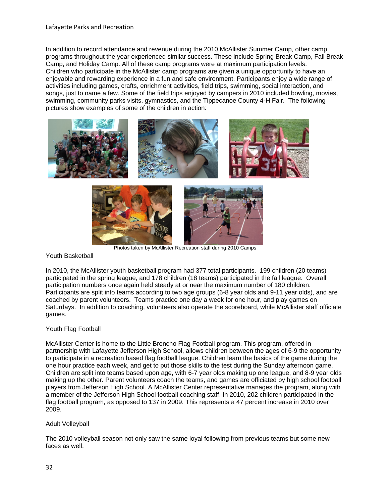In addition to record attendance and revenue during the 2010 McAllister Summer Camp, other camp programs throughout the year experienced similar success. These include Spring Break Camp, Fall Break Camp, and Holiday Camp. All of these camp programs were at maximum participation levels. Children who participate in the McAllister camp programs are given a unique opportunity to have an enjoyable and rewarding experience in a fun and safe environment. Participants enjoy a wide range of activities including games, crafts, enrichment activities, field trips, swimming, social interaction, and songs, just to name a few. Some of the field trips enjoyed by campers in 2010 included bowling, movies, swimming, community parks visits, gymnastics, and the Tippecanoe County 4-H Fair. The following pictures show examples of some of the children in action:



#### Youth Basketball

In 2010, the McAllister youth basketball program had 377 total participants. 199 children (20 teams) participated in the spring league, and 178 children (18 teams) participated in the fall league. Overall participation numbers once again held steady at or near the maximum number of 180 children. Participants are split into teams according to two age groups (6-8 year olds and 9-11 year olds), and are coached by parent volunteers. Teams practice one day a week for one hour, and play games on Saturdays. In addition to coaching, volunteers also operate the scoreboard, while McAllister staff officiate games.

#### Youth Flag Football

McAllister Center is home to the Little Broncho Flag Football program. This program, offered in partnership with Lafayette Jefferson High School, allows children between the ages of 6-9 the opportunity to participate in a recreation based flag football league. Children learn the basics of the game during the one hour practice each week, and get to put those skills to the test during the Sunday afternoon game. Children are split into teams based upon age, with 6-7 year olds making up one league, and 8-9 year olds making up the other. Parent volunteers coach the teams, and games are officiated by high school football players from Jefferson High School. A McAllister Center representative manages the program, along with a member of the Jefferson High School football coaching staff. In 2010, 202 children participated in the flag football program, as opposed to 137 in 2009. This represents a 47 percent increase in 2010 over 2009.

#### Adult Volleyball

The 2010 volleyball season not only saw the same loyal following from previous teams but some new faces as well.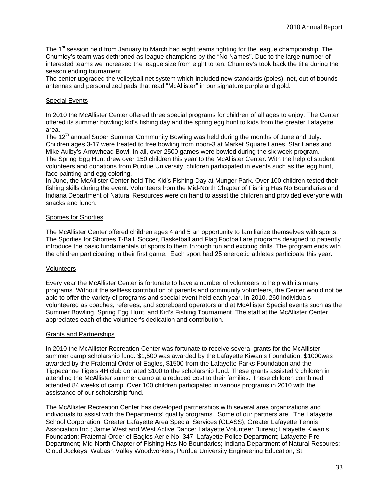The 1<sup>st</sup> session held from January to March had eight teams fighting for the league championship. The Chumley's team was dethroned as league champions by the "No Names". Due to the large number of interested teams we increased the league size from eight to ten. Chumley's took back the title during the season ending tournament.

The center upgraded the volleyball net system which included new standards (poles), net, out of bounds antennas and personalized pads that read "McAllister" in our signature purple and gold.

#### Special Events

In 2010 the McAllister Center offered three special programs for children of all ages to enjoy. The Center offered its summer bowling; kid's fishing day and the spring egg hunt to kids from the greater Lafayette area.

The 12<sup>th</sup> annual Super Summer Community Bowling was held during the months of June and July. Children ages 3-17 were treated to free bowling from noon-3 at Market Square Lanes, Star Lanes and Mike Aulby's Arrowhead Bowl. In all, over 2500 games were bowled during the six week program. The Spring Egg Hunt drew over 150 children this year to the McAllister Center. With the help of student volunteers and donations from Purdue University, children participated in events such as the egg hunt, face painting and egg coloring.

In June, the McAllister Center held The Kid's Fishing Day at Munger Park. Over 100 children tested their fishing skills during the event. Volunteers from the Mid-North Chapter of Fishing Has No Boundaries and Indiana Department of Natural Resources were on hand to assist the children and provided everyone with snacks and lunch.

#### Sporties for Shorties

The McAllister Center offered children ages 4 and 5 an opportunity to familiarize themselves with sports. The Sporties for Shorties T-Ball, Soccer, Basketball and Flag Football are programs designed to patiently introduce the basic fundamentals of sports to them through fun and exciting drills. The program ends with the children participating in their first game. Each sport had 25 energetic athletes participate this year.

#### Volunteers

Every year the McAllister Center is fortunate to have a number of volunteers to help with its many programs. Without the selfless contribution of parents and community volunteers, the Center would not be able to offer the variety of programs and special event held each year. In 2010, 260 individuals volunteered as coaches, referees, and scoreboard operators and at McAllister Special events such as the Summer Bowling, Spring Egg Hunt, and Kid's Fishing Tournament. The staff at the McAllister Center appreciates each of the volunteer's dedication and contribution.

#### Grants and Partnerships

In 2010 the McAllister Recreation Center was fortunate to receive several grants for the McAllister summer camp scholarship fund. \$1,500 was awarded by the Lafayette Kiwanis Foundation, \$1000was awarded by the Fraternal Order of Eagles, \$1500 from the Lafayette Parks Foundation and the Tippecanoe Tigers 4H club donated \$100 to the scholarship fund. These grants assisted 9 children in attending the McAllister summer camp at a reduced cost to their families. These children combined attended 84 weeks of camp. Over 100 children participated in various programs in 2010 with the assistance of our scholarship fund.

The McAllister Recreation Center has developed partnerships with several area organizations and individuals to assist with the Departments' quality programs. Some of our partners are: The Lafayette School Corporation; Greater Lafayette Area Special Services (GLASS); Greater Lafayette Tennis Association Inc.; Jamie West and West Active Dance; Lafayette Volunteer Bureau; Lafayette Kiwanis Foundation; Fraternal Order of Eagles Aerie No. 347; Lafayette Police Department; Lafayette Fire Department; Mid-North Chapter of Fishing Has No Boundaries; Indiana Department of Natural Resoures; Cloud Jockeys; Wabash Valley Woodworkers; Purdue University Engineering Education; St.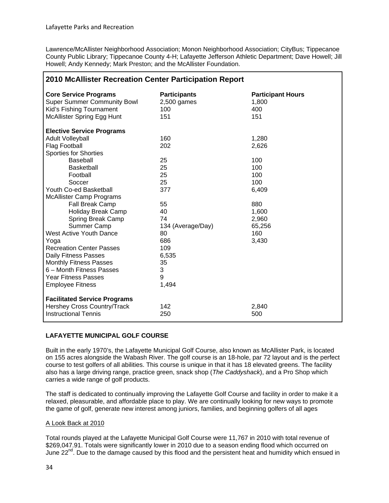1

Lawrence/McAllister Neighborhood Association; Monon Neighborhood Association; CityBus; Tippecanoe County Public Library; Tippecanoe County 4-H; Lafayette Jefferson Athletic Department; Dave Howell; Jill Howell; Andy Kennedy; Mark Preston; and the McAllister Foundation.

| 2010 McAllister Recreation Center Participation Report                                                                              |                                                    |                                                 |  |
|-------------------------------------------------------------------------------------------------------------------------------------|----------------------------------------------------|-------------------------------------------------|--|
| <b>Core Service Programs</b><br><b>Super Summer Community Bowl</b><br>Kid's Fishing Tournament<br><b>McAllister Spring Egg Hunt</b> | <b>Participants</b><br>$2,500$ games<br>100<br>151 | <b>Participant Hours</b><br>1,800<br>400<br>151 |  |
| <b>Elective Service Programs</b>                                                                                                    |                                                    |                                                 |  |
| <b>Adult Volleyball</b>                                                                                                             | 160                                                | 1,280                                           |  |
| Flag Football                                                                                                                       | 202                                                | 2,626                                           |  |
| <b>Sporties for Shorties</b>                                                                                                        |                                                    |                                                 |  |
| Baseball                                                                                                                            | 25                                                 | 100                                             |  |
| Basketball                                                                                                                          | 25                                                 | 100                                             |  |
| Football                                                                                                                            | 25                                                 | 100                                             |  |
| Soccer                                                                                                                              | 25                                                 | 100                                             |  |
| Youth Co-ed Basketball                                                                                                              | 377                                                | 6,409                                           |  |
| <b>McAllister Camp Programs</b>                                                                                                     |                                                    |                                                 |  |
| Fall Break Camp                                                                                                                     | 55                                                 | 880                                             |  |
| Holiday Break Camp                                                                                                                  | 40                                                 | 1,600                                           |  |
| Spring Break Camp                                                                                                                   | 74                                                 | 2,960                                           |  |
| Summer Camp                                                                                                                         | 134 (Average/Day)                                  | 65,256                                          |  |
| <b>West Active Youth Dance</b>                                                                                                      | 80                                                 | 160                                             |  |
| Yoga                                                                                                                                | 686                                                | 3,430                                           |  |
| <b>Recreation Center Passes</b>                                                                                                     | 109                                                |                                                 |  |
| Daily Fitness Passes                                                                                                                | 6,535                                              |                                                 |  |
| <b>Monthly Fitness Passes</b>                                                                                                       | 35                                                 |                                                 |  |
| 6 - Month Fitness Passes                                                                                                            | 3                                                  |                                                 |  |
| <b>Year Fitness Passes</b>                                                                                                          | 9                                                  |                                                 |  |
| <b>Employee Fitness</b>                                                                                                             | 1,494                                              |                                                 |  |
| <b>Facilitated Service Programs</b>                                                                                                 |                                                    |                                                 |  |
| Hershey Cross Country/Track                                                                                                         | 142                                                | 2,840                                           |  |
| <b>Instructional Tennis</b>                                                                                                         | 250                                                | 500                                             |  |

#### **LAFAYETTE MUNICIPAL GOLF COURSE**

Built in the early 1970's, the Lafayette Municipal Golf Course, also known as McAllister Park, is located on 155 acres alongside the Wabash River. The golf course is an 18-hole, par 72 layout and is the perfect course to test golfers of all abilities. This course is unique in that it has 18 elevated greens. The facility also has a large driving range, practice green, snack shop (*The Caddyshack*), and a Pro Shop which carries a wide range of golf products.

The staff is dedicated to continually improving the Lafayette Golf Course and facility in order to make it a relaxed, pleasurable, and affordable place to play. We are continually looking for new ways to promote the game of golf, generate new interest among juniors, families, and beginning golfers of all ages

#### A Look Back at 2010

Total rounds played at the Lafayette Municipal Golf Course were 11,767 in 2010 with total revenue of \$269,047.91. Totals were significantly lower in 2010 due to a season ending flood which occurred on June 22<sup>nd</sup>. Due to the damage caused by this flood and the persistent heat and humidity which ensued in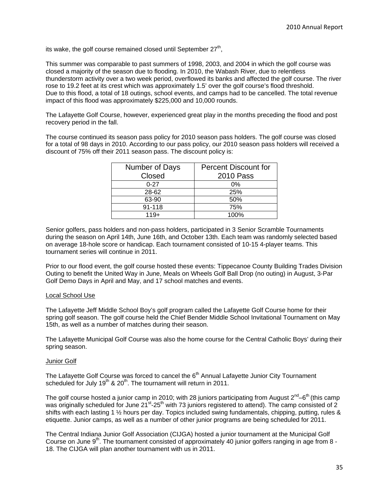its wake, the golf course remained closed until September  $27<sup>th</sup>$ ,

This summer was comparable to past summers of 1998, 2003, and 2004 in which the golf course was closed a majority of the season due to flooding. In 2010, the Wabash River, due to relentless thunderstorm activity over a two week period, overflowed its banks and affected the golf course. The river rose to 19.2 feet at its crest which was approximately 1.5' over the golf course's flood threshold. Due to this flood, a total of 18 outings, school events, and camps had to be cancelled. The total revenue impact of this flood was approximately \$225,000 and 10,000 rounds.

The Lafayette Golf Course, however, experienced great play in the months preceding the flood and post recovery period in the fall.

The course continued its season pass policy for 2010 season pass holders. The golf course was closed for a total of 98 days in 2010. According to our pass policy, our 2010 season pass holders will received a discount of 75% off their 2011 season pass. The discount policy is:

| Number of Days | <b>Percent Discount for</b> |  |
|----------------|-----------------------------|--|
| Closed         | <b>2010 Pass</b>            |  |
| $0 - 27$       | $0\%$                       |  |
| 28-62          | 25%                         |  |
| 63-90          | 50%                         |  |
| 91-118         | 75%                         |  |
| $119+$         | 100%                        |  |

Senior golfers, pass holders and non-pass holders, participated in 3 Senior Scramble Tournaments during the season on April 14th, June 16th, and October 13th. Each team was randomly selected based on average 18-hole score or handicap. Each tournament consisted of 10-15 4-player teams. This tournament series will continue in 2011.

Prior to our flood event, the golf course hosted these events: Tippecanoe County Building Trades Division Outing to benefit the United Way in June, Meals on Wheels Golf Ball Drop (no outing) in August, 3-Par Golf Demo Days in April and May, and 17 school matches and events.

#### Local School Use

The Lafayette Jeff Middle School Boy's golf program called the Lafayette Golf Course home for their spring golf season. The golf course held the Chief Bender Middle School Invitational Tournament on May 15th, as well as a number of matches during their season.

The Lafayette Municipal Golf Course was also the home course for the Central Catholic Boys' during their spring season.

#### Junior Golf

The Lafayette Golf Course was forced to cancel the  $6<sup>th</sup>$  Annual Lafayette Junior City Tournament scheduled for July  $19<sup>th</sup>$  &  $20<sup>th</sup>$ . The tournament will return in 2011.

The golf course hosted a junior camp in 2010; with 28 juniors participating from August  $2^{nd} - 6^{th}$  (this camp was originally scheduled for June 21<sup>st</sup>-25<sup>th</sup> with 73 juniors registered to attend). The camp consisted of 2 shifts with each lasting 1 ½ hours per day. Topics included swing fundamentals, chipping, putting, rules & etiquette. Junior camps, as well as a number of other junior programs are being scheduled for 2011.

The Central Indiana Junior Golf Association (CIJGA) hosted a junior tournament at the Municipal Golf Course on June 9<sup>th</sup>. The tournament consisted of approximately 40 junior golfers ranging in age from 8 -18. The CIJGA will plan another tournament with us in 2011.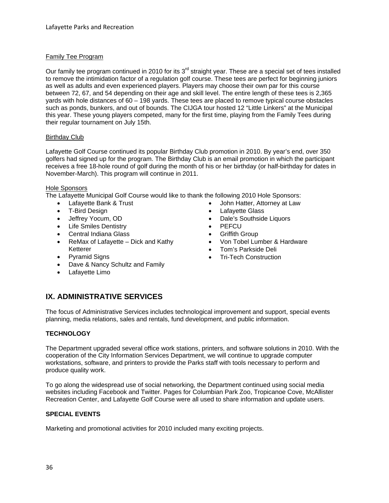#### Family Tee Program

Our family tee program continued in 2010 for its 3<sup>rd</sup> straight year. These are a special set of tees installed to remove the intimidation factor of a regulation golf course. These tees are perfect for beginning juniors as well as adults and even experienced players. Players may choose their own par for this course between 72, 67, and 54 depending on their age and skill level. The entire length of these tees is 2,365 yards with hole distances of 60 – 198 yards. These tees are placed to remove typical course obstacles such as ponds, bunkers, and out of bounds. The CIJGA tour hosted 12 "Little Linkers" at the Municipal this year. These young players competed, many for the first time, playing from the Family Tees during their regular tournament on July 15th.

#### Birthday Club

Lafayette Golf Course continued its popular Birthday Club promotion in 2010. By year's end, over 350 golfers had signed up for the program. The Birthday Club is an email promotion in which the participant receives a free 18-hole round of golf during the month of his or her birthday (or half-birthday for dates in November-March). This program will continue in 2011.

#### Hole Sponsors

The Lafayette Municipal Golf Course would like to thank the following 2010 Hole Sponsors:

- Lafayette Bank & Trust
- T-Bird Design
- Jeffrey Yocum, OD
- Life Smiles Dentistry
- Central Indiana Glass
- $\bullet$  ReMax of Lafayette Dick and Kathy Ketterer
- Pyramid Signs
- Dave & Nancy Schultz and Family
- Lafayette Limo
- John Hatter, Attorney at Law
- Lafayette Glass
- Dale's Southside Liquors
- PEFCU
- **•** Griffith Group
- Von Tobel Lumber & Hardware
- Tom's Parkside Deli
- Tri-Tech Construction

# **IX. ADMINISTRATIVE SERVICES**

The focus of Administrative Services includes technological improvement and support, special events planning, media relations, sales and rentals, fund development, and public information.

#### **TECHNOLOGY**

The Department upgraded several office work stations, printers, and software solutions in 2010. With the cooperation of the City Information Services Department, we will continue to upgrade computer workstations, software, and printers to provide the Parks staff with tools necessary to perform and produce quality work.

To go along the widespread use of social networking, the Department continued using social media websites including Facebook and Twitter. Pages for Columbian Park Zoo, Tropicanoe Cove, McAllister Recreation Center, and Lafayette Golf Course were all used to share information and update users.

#### **SPECIAL EVENTS**

Marketing and promotional activities for 2010 included many exciting projects.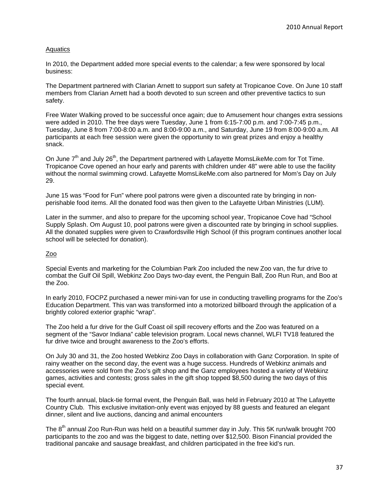#### **Aquatics**

In 2010, the Department added more special events to the calendar; a few were sponsored by local business:

The Department partnered with Clarian Arnett to support sun safety at Tropicanoe Cove. On June 10 staff members from Clarian Arnett had a booth devoted to sun screen and other preventive tactics to sun safety.

Free Water Walking proved to be successful once again; due to Amusement hour changes extra sessions were added in 2010. The free days were Tuesday, June 1 from 6:15-7:00 p.m. and 7:00-7:45 p.m., Tuesday, June 8 from 7:00-8:00 a.m. and 8:00-9:00 a.m., and Saturday, June 19 from 8:00-9:00 a.m. All participants at each free session were given the opportunity to win great prizes and enjoy a healthy snack.

On June  $7<sup>th</sup>$  and July 26<sup>th</sup>, the Department partnered with Lafayette MomsLikeMe.com for Tot Time. Tropicanoe Cove opened an hour early and parents with children under 48" were able to use the facility without the normal swimming crowd. Lafayette MomsLikeMe.com also partnered for Mom's Day on July 29.

June 15 was "Food for Fun" where pool patrons were given a discounted rate by bringing in nonperishable food items. All the donated food was then given to the Lafayette Urban Ministries (LUM).

Later in the summer, and also to prepare for the upcoming school year, Tropicanoe Cove had "School Supply Splash. Om August 10, pool patrons were given a discounted rate by bringing in school supplies. All the donated supplies were given to Crawfordsville High School (if this program continues another local school will be selected for donation).

#### Zoo

Special Events and marketing for the Columbian Park Zoo included the new Zoo van, the fur drive to combat the Gulf Oil Spill, Webkinz Zoo Days two-day event, the Penguin Ball, Zoo Run Run, and Boo at the Zoo.

In early 2010, FOCPZ purchased a newer mini-van for use in conducting travelling programs for the Zoo's Education Department. This van was transformed into a motorized billboard through the application of a brightly colored exterior graphic "wrap".

The Zoo held a fur drive for the Gulf Coast oil spill recovery efforts and the Zoo was featured on a segment of the "Savor Indiana" cable television program. Local news channel, WLFI TV18 featured the fur drive twice and brought awareness to the Zoo's efforts.

On July 30 and 31, the Zoo hosted Webkinz Zoo Days in collaboration with Ganz Corporation. In spite of rainy weather on the second day, the event was a huge success. Hundreds of Webkinz animals and accessories were sold from the Zoo's gift shop and the Ganz employees hosted a variety of Webkinz games, activities and contests; gross sales in the gift shop topped \$8,500 during the two days of this special event.

The fourth annual, black-tie formal event, the Penguin Ball, was held in February 2010 at The Lafayette Country Club. This exclusive invitation-only event was enjoyed by 88 guests and featured an elegant dinner, silent and live auctions, dancing and animal encounters

The  $8<sup>th</sup>$  annual Zoo Run-Run was held on a beautiful summer day in July. This 5K run/walk brought 700 participants to the zoo and was the biggest to date, netting over \$12,500. Bison Financial provided the traditional pancake and sausage breakfast, and children participated in the free kid's run.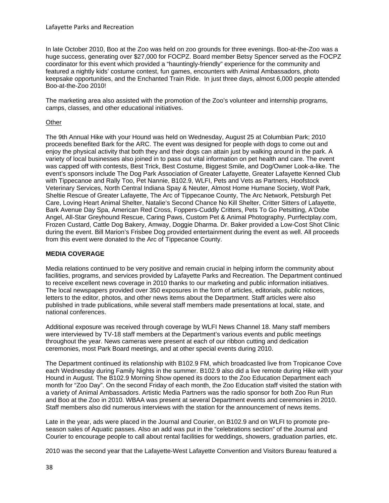In late October 2010, Boo at the Zoo was held on zoo grounds for three evenings. Boo-at-the-Zoo was a huge success, generating over \$27,000 for FOCPZ. Board member Betsy Spencer served as the FOCPZ coordinator for this event which provided a "hauntingly-friendly" experience for the community and featured a nightly kids' costume contest, fun games, encounters with Animal Ambassadors, photo keepsake opportunities, and the Enchanted Train Ride. In just three days, almost 6,000 people attended Boo-at-the-Zoo 2010!

The marketing area also assisted with the promotion of the Zoo's volunteer and internship programs, camps, classes, and other educational initiatives.

#### **Other**

The 9th Annual Hike with your Hound was held on Wednesday, August 25 at Columbian Park; 2010 proceeds benefited Bark for the ARC. The event was designed for people with dogs to come out and enjoy the physical activity that both they and their dogs can attain just by walking around in the park. A variety of local businesses also joined in to pass out vital information on pet health and care. The event was capped off with contests, Best Trick, Best Costume, Biggest Smile, and Dog/Owner Look-a-like. The event's sponsors include The Dog Park Association of Greater Lafayette, Greater Lafayette Kenned Club with Tippecanoe and Rally Too, Pet Nannie, B102.9, WLFI, Pets and Vets as Partners, Hoofstock Veterinary Services, North Central Indiana Spay & Neuter, Almost Home Humane Society, Wolf Park, Sheltie Rescue of Greater Lafayette, The Arc of Tippecanoe County, The Arc Network, Petsburgh Pet Care, Loving Heart Animal Shelter, Natalie's Second Chance No Kill Shelter, Critter Sitters of Lafayette, Bark Avenue Day Spa, American Red Cross, Foppers-Cuddly Critters, Pets To Go Petsitting, A'Dobe Angel, All-Star Greyhound Rescue, Caring Paws, Custom Pet & Animal Photography, Purrfectplay.com, Frozen Custard, Cattle Dog Bakery, Amway, Doggie Dharma. Dr. Baker provided a Low-Cost Shot Clinic during the event. Bill Marion's Frisbee Dog provided entertainment during the event as well. All proceeds from this event were donated to the Arc of Tippecanoe County.

#### **MEDIA COVERAGE**

Media relations continued to be very positive and remain crucial in helping inform the community about facilities, programs, and services provided by Lafayette Parks and Recreation. The Department continued to receive excellent news coverage in 2010 thanks to our marketing and public information initiatives. The local newspapers provided over 350 exposures in the form of articles, editorials, public notices, letters to the editor, photos, and other news items about the Department. Staff articles were also published in trade publications, while several staff members made presentations at local, state, and national conferences.

Additional exposure was received through coverage by WLFI News Channel 18. Many staff members were interviewed by TV-18 staff members at the Department's various events and public meetings throughout the year. News cameras were present at each of our ribbon cutting and dedication ceremonies, most Park Board meetings, and at other special events during 2010.

The Department continued its relationship with B102.9 FM, which broadcasted live from Tropicanoe Cove each Wednesday during Family Nights in the summer. B102.9 also did a live remote during Hike with your Hound in August. The B102.9 Morning Show opened its doors to the Zoo Education Department each month for "Zoo Day". On the second Friday of each month, the Zoo Education staff visited the station with a variety of Animal Ambassadors. Artistic Media Partners was the radio sponsor for both Zoo Run Run and Boo at the Zoo in 2010. WBAA was present at several Department events and ceremonies in 2010. Staff members also did numerous interviews with the station for the announcement of news items.

Late in the year, ads were placed in the Journal and Courier, on B102.9 and on WLFI to promote preseason sales of Aquatic passes. Also an add was put in the "celebrations section" of the Journal and Courier to encourage people to call about rental facilities for weddings, showers, graduation parties, etc.

2010 was the second year that the Lafayette-West Lafayette Convention and Visitors Bureau featured a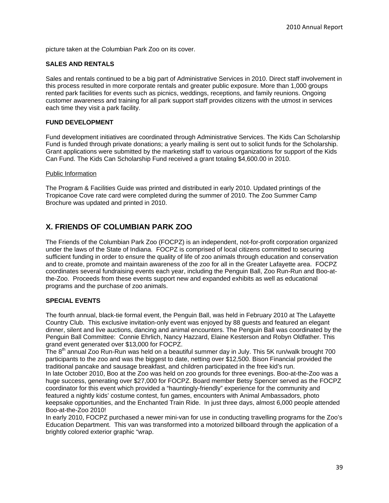picture taken at the Columbian Park Zoo on its cover.

#### **SALES AND RENTALS**

Sales and rentals continued to be a big part of Administrative Services in 2010. Direct staff involvement in this process resulted in more corporate rentals and greater public exposure. More than 1,000 groups rented park facilities for events such as picnics, weddings, receptions, and family reunions. Ongoing customer awareness and training for all park support staff provides citizens with the utmost in services each time they visit a park facility.

#### **FUND DEVELOPMENT**

Fund development initiatives are coordinated through Administrative Services. The Kids Can Scholarship Fund is funded through private donations; a yearly mailing is sent out to solicit funds for the Scholarship. Grant applications were submitted by the marketing staff to various organizations for support of the Kids Can Fund. The Kids Can Scholarship Fund received a grant totaling \$4,600.00 in 2010.

#### Public Information

The Program & Facilities Guide was printed and distributed in early 2010. Updated printings of the Tropicanoe Cove rate card were completed during the summer of 2010. The Zoo Summer Camp Brochure was updated and printed in 2010.

# **X. FRIENDS OF COLUMBIAN PARK ZOO**

The Friends of the Columbian Park Zoo (FOCPZ) is an independent, not-for-profit corporation organized under the laws of the State of Indiana. FOCPZ is comprised of local citizens committed to securing sufficient funding in order to ensure the quality of life of zoo animals through education and conservation and to create, promote and maintain awareness of the zoo for all in the Greater Lafayette area. FOCPZ coordinates several fundraising events each year, including the Penguin Ball, Zoo Run-Run and Boo-atthe-Zoo. Proceeds from these events support new and expanded exhibits as well as educational programs and the purchase of zoo animals.

#### **SPECIAL EVENTS**

The fourth annual, black-tie formal event, the Penguin Ball, was held in February 2010 at The Lafayette Country Club. This exclusive invitation-only event was enjoyed by 88 guests and featured an elegant dinner, silent and live auctions, dancing and animal encounters. The Penguin Ball was coordinated by the Penguin Ball Committee: Connie Ehrlich, Nancy Hazzard, Elaine Kesterson and Robyn Oldfather. This grand event generated over \$13,000 for FOCPZ.

The  $8<sup>th</sup>$  annual Zoo Run-Run was held on a beautiful summer day in July. This 5K run/walk brought 700 participants to the zoo and was the biggest to date, netting over \$12,500. Bison Financial provided the traditional pancake and sausage breakfast, and children participated in the free kid's run.

In late October 2010, Boo at the Zoo was held on zoo grounds for three evenings. Boo-at-the-Zoo was a huge success, generating over \$27,000 for FOCPZ. Board member Betsy Spencer served as the FOCPZ coordinator for this event which provided a "hauntingly-friendly" experience for the community and featured a nightly kids' costume contest, fun games, encounters with Animal Ambassadors, photo keepsake opportunities, and the Enchanted Train Ride. In just three days, almost 6,000 people attended Boo-at-the-Zoo 2010!

In early 2010, FOCPZ purchased a newer mini-van for use in conducting travelling programs for the Zoo's Education Department. This van was transformed into a motorized billboard through the application of a brightly colored exterior graphic "wrap.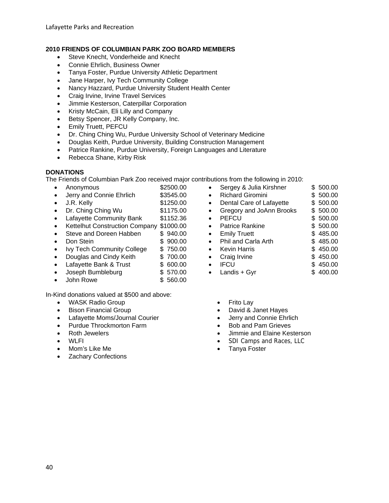# **2010 FRIENDS OF COLUMBIAN PARK ZOO BOARD MEMBERS**

- Steve Knecht, Vonderheide and Knecht
- Connie Ehrlich, Business Owner
- Tanya Foster, Purdue University Athletic Department
- Jane Harper, Ivy Tech Community College
- Nancy Hazzard, Purdue University Student Health Center
- Craig Irvine, Irvine Travel Services
- Jimmie Kesterson, Caterpillar Corporation
- Kristy McCain, Eli Lilly and Company
- **Betsy Spencer, JR Kelly Company, Inc.**
- **•** Emily Truett, PEFCU
- Dr. Ching Ching Wu, Purdue University School of Veterinary Medicine
- Douglas Keith, Purdue University, Building Construction Management
- Patrice Rankine, Purdue University, Foreign Languages and Literature
- Rebecca Shane, Kirby Risk

#### **DONATIONS**

The Friends of Columbian Park Zoo received major contributions from the following in 2010:

- Anonymous \$2500.00
- Jerry and Connie Ehrlich \$3545.00
- J.R. Kelly \$1250.00
- Dr. Ching Ching Wu \$1175.00
- Lafayette Community Bank \$1152.36
- Kettelhut Construction Company \$1000.00
- Steve and Doreen Habben \$ 940.00
- **Don Stein \$ 900.00**
- Ivy Tech Community College \$ 750.00
- Douglas and Cindy Keith \$700.00
- Lafayette Bank & Trust \$ 600.00
- Joseph Bumbleburg \$ 570.00
- John Rowe  $$560.00$

In-Kind donations valued at \$500 and above:

- WASK Radio Group
- Bison Financial Group
- Lafayette Moms/Journal Courier
- Purdue Throckmorton Farm
- Roth Jewelers
- WLFI
- Mom's Like Me
- Zachary Confections
- Sergey & Julia Kirshner \$ 500.00 • Richard Giromini \$ 500.00 • Dental Care of Lafayette \$ 500.00 • Gregory and JoAnn Brooks \$ 500.00 • PEFCU \$ 500.00 • Patrice Rankine \$ 500.00 • Emily Truett \$485.00 • Phil and Carla Arth \$485.00 • Kevin Harris \$450.00 • Craig Irvine \$450.00 • IFCU \$ 450.00 • Landis + Gyr  $$400.00$ 
	- Frito Lay
	- David & Janet Hayes
	- Jerry and Connie Ehrlich
	- Bob and Pam Grieves
	- Jimmie and Elaine Kesterson
	- SDI Camps and Races, LLC
	- Tanya Foster